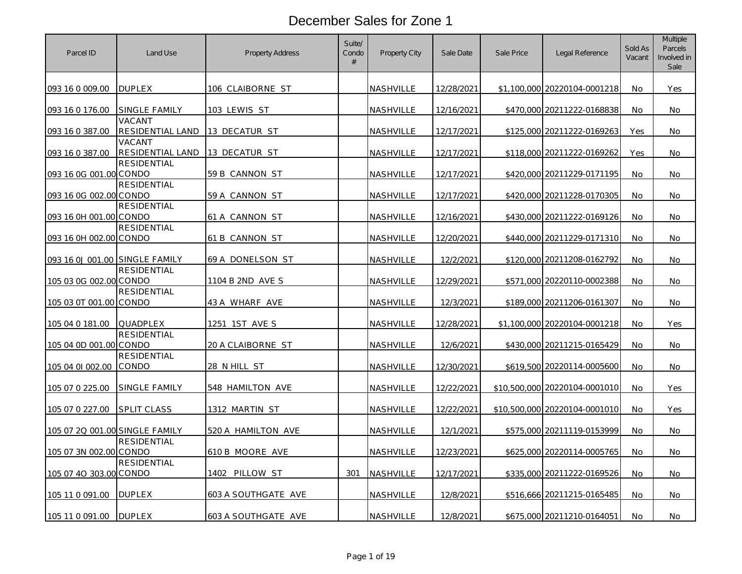| Parcel ID                      | Land Use                   | Property Address    | Suite/<br>Condo<br># | Property City    | Sale Date         | Sale Price | Legal Reference               | Sold As<br>Vacant | <b>Multiple</b><br>Parcels<br>Involved in<br>Sale |
|--------------------------------|----------------------------|---------------------|----------------------|------------------|-------------------|------------|-------------------------------|-------------------|---------------------------------------------------|
| 093 16 0 009.00                | <b>DUPLEX</b>              | 106 CLAIBORNE ST    |                      | NASHVILLE        | 12/28/2021        |            | \$1,100,000 20220104-0001218  | No.               | Yes                                               |
| 093 16 0 176.00                | SINGLE FAMILY              | 103 LEWIS ST        |                      | NASHVILLE        | 12/16/2021        |            | \$470,000 20211222-0168838    | No                | No                                                |
| 093 16 0 387.00                | VACANT<br>RESIDENTIAL LAND | 13 DECATUR ST       |                      | NASHVILLE        | 12/17/2021        |            | \$125,000 20211222-0169263    | Yes               | No.                                               |
| 093 16 0 387.00                | VACANT<br>RESIDENTIAL LAND | 13 DECATUR ST       |                      | NASHVILLE        | 12/17/2021        | \$118,000  | 20211222-0169262              | Yes               | No                                                |
| 093 16 0G 001.00 CONDO         | <b>RESIDENTIAL</b>         | 59 B CANNON ST      |                      | NASHVILLE        | 12/17/2021        |            | \$420,000 20211229-0171195    | No.               | No.                                               |
| 093 16 0G 002.00 CONDO         | <b>RESIDENTIAL</b>         | 59 A CANNON ST      |                      | NASHVILLE        | 12/17/2021        |            | \$420,000 20211228-0170305    | No                | No                                                |
| 093 16 0H 001.00 CONDO         | <b>RESIDENTIAL</b>         | 61 A CANNON ST      |                      | NASHVILLE        | <u>12/16/2021</u> |            | \$430,000 20211222-0169126    | No                | No.                                               |
| 093 16 0H 002.00 CONDO         | <b>RESIDENTIAL</b>         | 61 B CANNON ST      |                      | NASHVILLE        | 12/20/2021        |            | \$440,000 20211229-0171310    | <b>No</b>         | No                                                |
| 093 16 0J 001.00 SINGLE FAMILY |                            | 69 A DONELSON ST    |                      | NASHVILLE        | 12/2/2021         |            | \$120,000 20211208-0162792    | No                | No.                                               |
| 105 03 0G 002.00 CONDO         | <b>RESIDENTIAL</b>         | 1104 B 2ND AVE S    |                      | <b>NASHVILLE</b> | 12/29/2021        |            | \$571,000 20220110-0002388    | No                | No                                                |
| 105 03 0T 001.00 CONDO         | <b>RESIDENTIAL</b>         | 43 A WHARF AVE      |                      | NASHVILLE        | 12/3/2021         |            | \$189,000 20211206-0161307    | <b>No</b>         | No.                                               |
| 105 04 0 181.00                | QUADPLEX                   | 1251 1ST AVE S      |                      | NASHVILLE        | 12/28/2021        |            | \$1,100,000 20220104-0001218  | <b>No</b>         | Yes                                               |
| 105 04 0D 001.00 CONDO         | <b>RESIDENTIAL</b>         | 20 A CLAIBORNE ST   |                      | NASHVILLE        | 12/6/2021         |            | \$430,000 20211215-0165429    | No                | No                                                |
| 105 04 01 002.00               | RESIDENTIAL<br>CONDO       | 28 N HILL ST        |                      | NASHVILLE        | 12/30/2021        |            | \$619,500 20220114-0005600    | <b>No</b>         | No.                                               |
| 105 07 0 225.00                | SINGLE FAMILY              | 548 HAMILTON AVE    |                      | NASHVILLE        | 12/22/2021        |            | \$10,500,000 20220104-0001010 | <b>No</b>         | Yes                                               |
| 105 07 0 227.00                | <b>SPLIT CLASS</b>         | 1312 MARTIN ST      |                      | <b>NASHVILLE</b> | 12/22/2021        |            | \$10,500,000 20220104-0001010 | <b>No</b>         | Yes                                               |
| 105 07 2Q 001.00 SINGLE FAMILY |                            | 520 A HAMILTON AVE  |                      | NASHVILLE        | 12/1/2021         |            | \$575,000 20211119-0153999    | No                | No                                                |
| 105 07 3N 002.00 CONDO         | <b>RESIDENTIAL</b>         | 610 B MOORE AVE     |                      | NASHVILLE        | 12/23/2021        |            | \$625,000 20220114-0005765    | <b>No</b>         | No.                                               |
| 105 07 40 303.00 CONDO         | <b>RESIDENTIAL</b>         | 1402 PILLOW ST      | 301                  | NASHVILLE        | 12/17/2021        |            | \$335,000 20211222-0169526    | <b>No</b>         | No                                                |
| 105 11 0 091.00                | <b>DUPLEX</b>              | 603 A SOUTHGATE AVE |                      | NASHVILLE        | 12/8/2021         |            | \$516,666 20211215-0165485    | No                | No                                                |
| 105 11 0 091.00                | <b>DUPLEX</b>              | 603 A SOUTHGATE AVE |                      | NASHVILLE        | 12/8/2021         |            | \$675,000 20211210-0164051    | No                | No                                                |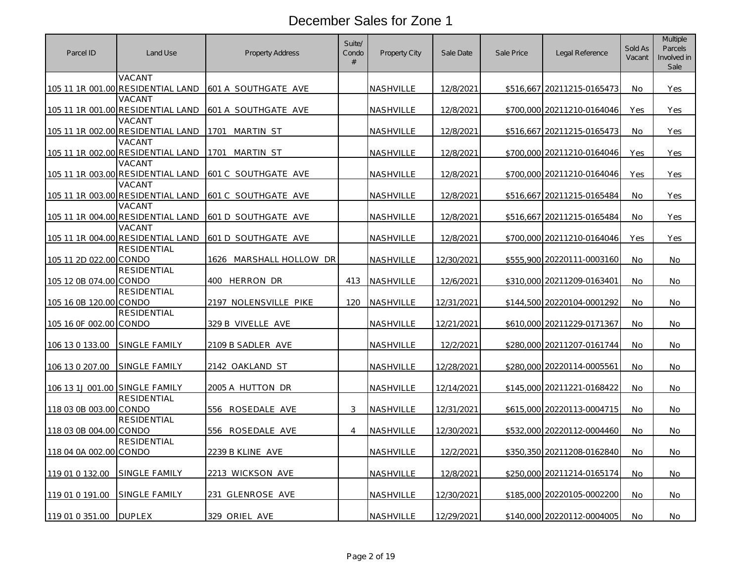| Parcel ID                      | Land Use                                    | <b>Property Address</b>    | Suite/<br>Condo<br># | Property City    | Sale Date  | Sale Price | Legal Reference            | Sold As<br>Vacant | Multiple<br>Parcels<br>Involved in<br>Sale |
|--------------------------------|---------------------------------------------|----------------------------|----------------------|------------------|------------|------------|----------------------------|-------------------|--------------------------------------------|
|                                | VACANT<br>105 11 1R 001.00 RESIDENTIAL LAND | 601 A SOUTHGATE AVE        |                      | NASHVILLE        | 12/8/2021  |            | \$516,667 20211215-0165473 | <b>No</b>         | Yes                                        |
|                                | VACANT<br>105 11 1R 001.00 RESIDENTIAL LAND | 601 A SOUTHGATE AVE        |                      | <b>NASHVILLE</b> | 12/8/2021  | \$700,000  | 20211210-0164046           | Yes               | Yes                                        |
|                                | VACANT<br>105 11 1R 002.00 RESIDENTIAL LAND | MARTIN ST<br>1701          |                      | NASHVILLE        | 12/8/2021  |            | \$516,667 20211215-0165473 | No                | Yes                                        |
|                                | VACANT<br>105 11 1R 002.00 RESIDENTIAL LAND | MARTIN ST<br>1701          |                      | <b>NASHVILLE</b> | 12/8/2021  | \$700,000  | 20211210-0164046           | Yes               | Yes                                        |
|                                | VACANT<br>105 11 1R 003.00 RESIDENTIAL LAND | <b>601 C SOUTHGATE AVE</b> |                      | NASHVILLE        | 12/8/2021  |            | \$700,000 20211210-0164046 | <b>Yes</b>        | Yes                                        |
|                                | VACANT<br>105 11 1R 003.00 RESIDENTIAL LAND | 601 C SOUTHGATE AVE        |                      | NASHVILLE        | 12/8/2021  |            | \$516,667 20211215-0165484 | No                | Yes                                        |
|                                | VACANT<br>105 11 1R 004.00 RESIDENTIAL LAND | 601 D SOUTHGATE AVE        |                      | NASHVILLE        | 12/8/2021  |            | \$516,667 20211215-0165484 | No                | Yes                                        |
|                                | VACANT<br>105 11 1R 004.00 RESIDENTIAL LAND | 601 D SOUTHGATE AVE        |                      | NASHVILLE        | 12/8/2021  |            | \$700,000 20211210-0164046 | Yes               | Yes                                        |
| 105 11 2D 022.00 CONDO         | <b>RESIDENTIAL</b>                          | 1626 MARSHALL HOLLOW DR    |                      | NASHVILLE        | 12/30/2021 | \$555,900  | 20220111-0003160           | <b>No</b>         | No.                                        |
| 105 12 0B 074.00 CONDO         | <b>RESIDENTIAL</b>                          | 400 HERRON DR              | 413                  | <b>NASHVILLE</b> | 12/6/2021  |            | \$310,000 20211209-0163401 | <b>No</b>         | No                                         |
| 105 16 0B 120.00 CONDO         | <b>RESIDENTIAL</b>                          | 2197 NOLENSVILLE PIKE      | 120                  | NASHVILLE        | 12/31/2021 | \$144,500  | 20220104-0001292           | No                | No                                         |
| 105 16 0F 002.00 CONDO         | <b>RESIDENTIAL</b>                          | 329 B VIVELLE AVE          |                      | <b>NASHVILLE</b> | 12/21/2021 |            | \$610,000 20211229-0171367 | No                | No                                         |
| 106 13 0 133.00                | SINGLE FAMILY                               | 2109 B SADLER AVE          |                      | NASHVILLE        | 12/2/2021  |            | \$280,000 20211207-0161744 | No                | No                                         |
| 106 13 0 207.00                | SINGLE FAMILY                               | 2142 OAKLAND ST            |                      | NASHVILLE        | 12/28/2021 |            | \$280,000 20220114-0005561 | <b>No</b>         | No.                                        |
| 106 13 1J 001.00 SINGLE FAMILY |                                             | 2005 A HUTTON DR           |                      | NASHVILLE        | 12/14/2021 | \$145,000  | 20211221-0168422           | <b>No</b>         | No.                                        |
| 118 03 0B 003.00 CONDO         | <b>RESIDENTIAL</b>                          | 556 ROSEDALE AVE           | 3                    | NASHVILLE        | 12/31/2021 |            | \$615,000 20220113-0004715 | No                | No                                         |
| 118 03 0B 004.00 CONDO         | <b>RESIDENTIAL</b>                          | 556 ROSEDALE AVE           | 4                    | NASHVILLE        | 12/30/2021 | \$532,000  | 20220112-0004460           | <b>No</b>         | No.                                        |
| 118 04 0A 002.00 CONDO         | <b>RESIDENTIAL</b>                          | 2239 B KLINE AVE           |                      | NASHVILLE        | 12/2/2021  |            | \$350,350 20211208-0162840 | No                | No                                         |
| 119 01 0 132.00                | SINGLE FAMILY                               | 2213 WICKSON AVE           |                      | NASHVILLE        | 12/8/2021  |            | \$250,000 20211214-0165174 | No                | No                                         |
| 119 01 0 191.00                | SINGLE FAMILY                               | 231 GLENROSE AVE           |                      | NASHVILLE        | 12/30/2021 |            | \$185,000 20220105-0002200 | <b>No</b>         | No.                                        |
| 119 01 0 351.00                | <b>DUPLEX</b>                               | 329 ORIEL AVE              |                      | NASHVILLE        | 12/29/2021 |            | \$140,000 20220112-0004005 | No                | No.                                        |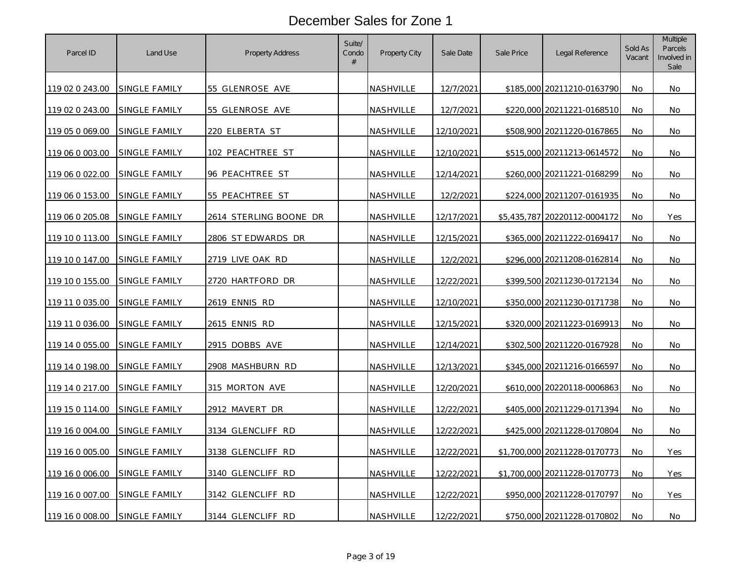| Parcel ID       | Land Use             | Property Address       | Suite/<br>Condo<br># | Property City    | Sale Date  | Sale Price | Legal Reference              | Sold As<br>Vacant | Multiple<br>Parcels<br>Involved in<br>Sale |
|-----------------|----------------------|------------------------|----------------------|------------------|------------|------------|------------------------------|-------------------|--------------------------------------------|
| 119 02 0 243.00 | SINGLE FAMILY        | 55 GLENROSE AVE        |                      | <b>NASHVILLE</b> | 12/7/2021  |            | \$185,000 20211210-0163790   | <b>No</b>         | No                                         |
| 119 02 0 243.00 | SINGLE FAMILY        | 55 GLENROSE AVE        |                      | NASHVILLE        | 12/7/2021  |            | \$220,000 20211221-0168510   | No                | No                                         |
| 119 05 0 069.00 | SINGLE FAMILY        | 220 ELBERTA ST         |                      | <u>NASHVILLE</u> | 12/10/2021 |            | \$508,900 20211220-0167865   | No                | No                                         |
| 119 06 0 003.00 | SINGLE FAMILY        | 102 PEACHTREE ST       |                      | NASHVILLE        | 12/10/2021 | \$515,000  | 20211213-0614572             | No                | No                                         |
| 119 06 0 022.00 | SINGLE FAMILY        | 96 PEACHTREE ST        |                      | NASHVILLE        | 12/14/2021 |            | \$260,000 20211221-0168299   | <b>No</b>         | No                                         |
| 119 06 0 153.00 | <b>SINGLE FAMILY</b> | 55 PEACHTREE ST        |                      | <u>NASHVILLE</u> | 12/2/2021  | \$224,000  | 20211207-0161935             | No                | No                                         |
| 119 06 0 205.08 | SINGLE FAMILY        | 2614 STERLING BOONE DR |                      | NASHVILLE        | 12/17/2021 |            | \$5,435,787 20220112-0004172 | <b>No</b>         | Yes                                        |
| 119 10 0 113.00 | SINGLE FAMILY        | 2806 ST EDWARDS DR     |                      | NASHVILLE        | 12/15/2021 | \$365,000  | 20211222-0169417             | No                | No                                         |
| 119 10 0 147.00 | SINGLE FAMILY        | 2719 LIVE OAK RD       |                      | <u>NASHVILLE</u> | 12/2/2021  |            | \$296,000 20211208-0162814   | No                | No                                         |
| 119 10 0 155.00 | <b>SINGLE FAMILY</b> | 2720 HARTFORD DR       |                      | NASHVILLE        | 12/22/2021 |            | \$399,500 20211230-0172134   | <b>No</b>         | No                                         |
| 119 11 0 035.00 | SINGLE FAMILY        | 2619 ENNIS RD          |                      | <u>NASHVILLE</u> | 12/10/2021 |            | \$350,000 20211230-0171738   | No                | No                                         |
| 119 11 0 036.00 | SINGLE FAMILY        | 2615 ENNIS RD          |                      | NASHVILLE        | 12/15/2021 |            | \$320,000 20211223-0169913   | No                | No                                         |
| 119 14 0 055.00 | SINGLE FAMILY        | 2915 DOBBS AVE         |                      | NASHVILLE        | 12/14/2021 |            | \$302,500 20211220-0167928   | No                | No                                         |
| 119 14 0 198.00 | <b>SINGLE FAMILY</b> | 2908 MASHBURN RD       |                      | <u>NASHVILLE</u> | 12/13/2021 |            | \$345,000 20211216-0166597   | No                | No                                         |
| 119 14 0 217.00 | SINGLE FAMILY        | 315 MORTON AVE         |                      | NASHVILLE        | 12/20/2021 |            | \$610,000 20220118-0006863   | <b>No</b>         | No                                         |
| 119 15 0 114.00 | SINGLE FAMILY        | 2912 MAVERT DR         |                      | <b>NASHVILLE</b> | 12/22/2021 |            | \$405,000 20211229-0171394   | No                | No                                         |
| 119 16 0 004.00 | SINGLE FAMILY        | 3134 GLENCLIFF RD      |                      | <b>NASHVILLE</b> | 12/22/2021 | \$425,000  | 20211228-0170804             | No                | No                                         |
| 119 16 0 005.00 | SINGLE FAMILY        | 3138 GLENCLIFF RD      |                      | NASHVILLE        | 12/22/2021 |            | \$1,700,000 20211228-0170773 | No                | Yes                                        |
| 119 16 0 006.00 | SINGLE FAMILY        | 3140 GLENCLIFF RD      |                      | NASHVILLE        | 12/22/2021 |            | \$1,700,000 20211228-0170773 | No                | Yes                                        |
| 119 16 0 007.00 | SINGLE FAMILY        | 3142 GLENCLIFF RD      |                      | NASHVILLE        | 12/22/2021 |            | \$950,000 20211228-0170797   | <b>No</b>         | Yes                                        |
| 119 16 0 008.00 | <b>SINGLE FAMILY</b> | 3144 GLENCLIFF RD      |                      | NASHVILLE        | 12/22/2021 |            | \$750,000 20211228-0170802   | No                | No                                         |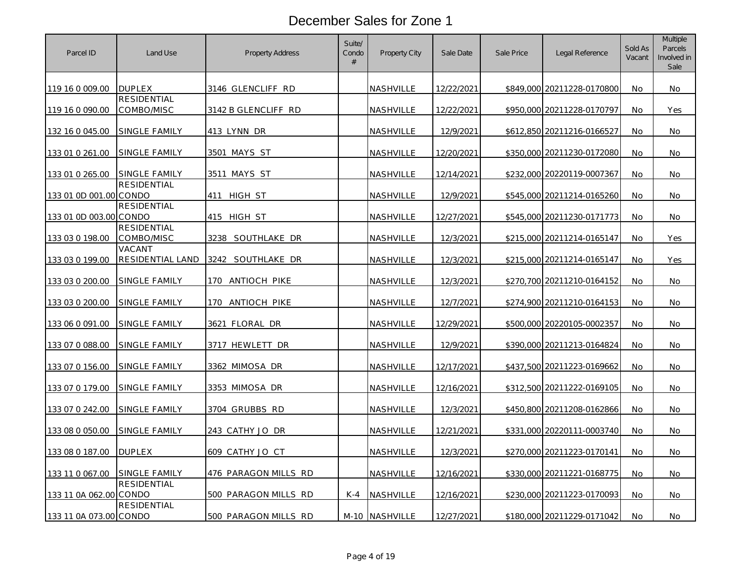| Parcel ID              | Land Use                          | Property Address      | Suite/<br>Condo<br># | Property City    | Sale Date  | Sale Price | Legal Reference            | Sold As<br>Vacant | <b>Multiple</b><br>Parcels<br>Involved in<br>Sale |
|------------------------|-----------------------------------|-----------------------|----------------------|------------------|------------|------------|----------------------------|-------------------|---------------------------------------------------|
| 119 16 0 009.00        | <b>DUPLEX</b>                     | 3146 GLENCLIFF RD     |                      | <b>NASHVILLE</b> | 12/22/2021 |            | \$849,000 20211228-0170800 | No                | No                                                |
| 119 16 0 090.00        | <b>RESIDENTIAL</b><br>COMBO/MISC  | 3142 B GLENCLIFF RD   |                      | NASHVILLE        | 12/22/2021 |            | \$950,000 20211228-0170797 | No                | Yes                                               |
| 132 16 0 045.00        | SINGLE FAMILY                     | 413 LYNN DR           |                      | NASHVILLE        | 12/9/2021  |            | \$612,850 20211216-0166527 | <b>No</b>         | No                                                |
| 133 01 0 261.00        | SINGLE FAMILY                     | 3501 MAYS ST          |                      | NASHVILLE        | 12/20/2021 |            | \$350,000 20211230-0172080 | <b>No</b>         | No                                                |
| 133 01 0 265.00        | SINGLE FAMILY                     | 3511 MAYS ST          |                      | NASHVILLE        | 12/14/2021 |            | \$232,000 20220119-0007367 | <b>No</b>         | No.                                               |
| 133 01 0D 001.00 CONDO | <b>RESIDENTIAL</b>                | HIGH ST<br>411        |                      | NASHVILLE        | 12/9/2021  | \$545,000  | 20211214-0165260           | No                | No                                                |
| 133 01 0D 003.00 CONDO | <b>RESIDENTIAL</b>                | 415 HIGH ST           |                      | NASHVILLE        | 12/27/2021 |            | \$545,000 20211230-0171773 | No                | No                                                |
| 133 03 0 198.00        | RESIDENTIAL<br>COMBO/MISC         | 3238 SOUTHLAKE DR     |                      | NASHVILLE        | 12/3/2021  | \$215,000  | 20211214-0165147           | No                | Yes                                               |
| 133 03 0 199.00        | <b>VACANT</b><br>RESIDENTIAL LAND | 3242 SOUTHLAKE DR     |                      | NASHVILLE        | 12/3/2021  | \$215,000  | 20211214-0165147           | No                | Yes                                               |
| 133 03 0 200.00        | SINGLE FAMILY                     | 170<br>ANTIOCH PIKE   |                      | <u>NASHVILLE</u> | 12/3/2021  |            | \$270,700 20211210-0164152 | No                | No                                                |
| 133 03 0 200.00        | SINGLE FAMILY                     | 170 ANTIOCH PIKE      |                      | NASHVILLE        | 12/7/2021  |            | \$274,900 20211210-0164153 | <b>No</b>         | No                                                |
| 133 06 0 091.00        | <u>SINGLE FAMILY</u>              | <u>3621 Floral dr</u> |                      | NASHVILLE        | 12/29/2021 |            | \$500,000 20220105-0002357 | No                | No                                                |
| 133 07 0 088.00        | SINGLE FAMILY                     | 3717 HEWLETT DR       |                      | NASHVILLE        | 12/9/2021  |            | \$390,000 20211213-0164824 | <b>No</b>         | No                                                |
| 133 07 0 156.00        | SINGLE FAMILY                     | 3362 MIMOSA DR        |                      | NASHVILLE        | 12/17/2021 |            | \$437,500 20211223-0169662 | No                | No                                                |
| 133 07 0 179.00        | SINGLE FAMILY                     | 3353 MIMOSA DR        |                      | NASHVILLE        | 12/16/2021 |            | \$312,500 20211222-0169105 | No                | No                                                |
| 133 07 0 242.00        | SINGLE FAMILY                     | 3704 GRUBBS RD        |                      | NASHVILLE        | 12/3/2021  |            | \$450,800 20211208-0162866 | No                | No                                                |
| 133 08 0 050.00        | <u>SINGLE FAMILY</u>              | 243 CATHY JO DR       |                      | <b>NASHVILLE</b> | 12/21/2021 | \$331,000  | 20220111-0003740           | No                | No                                                |
| 133 08 0 187.00        | <b>DUPLEX</b>                     | 609 CATHY JO CT       |                      | NASHVILLE        | 12/3/2021  |            | \$270,000 20211223-0170141 | No                | No                                                |
| 133 11 0 067.00        | SINGLE FAMILY                     | 476 PARAGON MILLS RD  |                      | NASHVILLE        | 12/16/2021 |            | \$330,000 20211221-0168775 | No                | No.                                               |
| 133 11 0A 062.00 CONDO | <b>RESIDENTIAL</b>                | 500 PARAGON MILLS RD  | $K-4$                | <b>NASHVILLE</b> | 12/16/2021 |            | \$230,000 20211223-0170093 | No                | No                                                |
| 133 11 0A 073.00 CONDO | <b>RESIDENTIAL</b>                | 500 PARAGON MILLS RD  |                      | M-10 NASHVILLE   | 12/27/2021 |            | \$180,000 20211229-0171042 | No                | No                                                |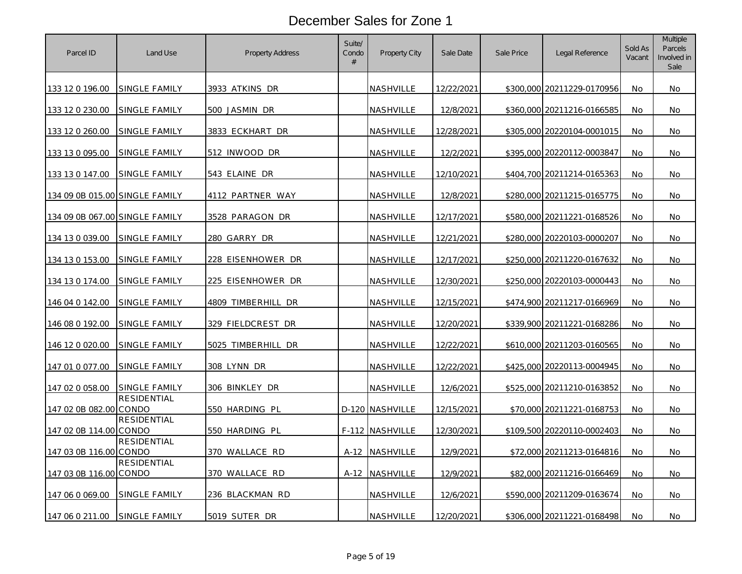| Parcel ID                      | Land Use             | Property Address   | Suite/<br>Condo<br># | Property City    | Sale Date  | Sale Price | Legal Reference            | Sold As<br>Vacant | <b>Multiple</b><br>Parcels<br>Involved in<br>Sale |
|--------------------------------|----------------------|--------------------|----------------------|------------------|------------|------------|----------------------------|-------------------|---------------------------------------------------|
| 133 12 0 196.00                | SINGLE FAMILY        | 3933 ATKINS DR     |                      | <b>NASHVILLE</b> | 12/22/2021 |            | \$300,000 20211229-0170956 | <b>No</b>         | No.                                               |
| 133 12 0 230.00                | SINGLE FAMILY        | 500 JASMIN DR      |                      | NASHVILLE        | 12/8/2021  |            | \$360,000 20211216-0166585 | No                | No                                                |
| 133 12 0 260.00                | SINGLE FAMILY        | 3833 ECKHART DR    |                      | NASHVILLE        | 12/28/2021 |            | \$305,000 20220104-0001015 | No                | No                                                |
| 133 13 0 095.00                | SINGLE FAMILY        | 512 INWOOD DR      |                      | <b>NASHVILLE</b> | 12/2/2021  | \$395,000  | 20220112-0003847           | No                | No                                                |
| 133 13 0 147.00                | SINGLE FAMILY        | 543 ELAINE DR      |                      | NASHVILLE        | 12/10/2021 |            | \$404,700 20211214-0165363 | No.               | No                                                |
| 134 09 0B 015.00 SINGLE FAMILY |                      | 4112 PARTNER WAY   |                      | <b>NASHVILLE</b> | 12/8/2021  | \$280,000  | 20211215-0165775           | No                | No                                                |
| 134 09 0B 067.00 SINGLE FAMILY |                      | 3528 PARAGON DR    |                      | NASHVILLE        | 12/17/2021 |            | \$580,000 20211221-0168526 | <b>No</b>         | No                                                |
| 134 13 0 039.00                | SINGLE FAMILY        | 280 GARRY DR       |                      | NASHVILLE        | 12/21/2021 | \$280,000  | 20220103-0000207           | No                | No                                                |
| 134 13 0 153.00                | SINGLE FAMILY        | 228 EISENHOWER DR  |                      | <u>NASHVILLE</u> | 12/17/2021 |            | \$250,000 20211220-0167632 | No                | No                                                |
| 134 13 0 174.00                | <b>SINGLE FAMILY</b> | 225 EISENHOWER DR  |                      | NASHVILLE        | 12/30/2021 |            | \$250,000 20220103-0000443 | <b>No</b>         | No                                                |
| 146 04 0 142.00                | SINGLE FAMILY        | 4809 TIMBERHILL DR |                      | NASHVILLE        | 12/15/2021 |            | \$474,900 20211217-0166969 | <b>No</b>         | No.                                               |
| 146 08 0 192.00                | SINGLE FAMILY        | 329 FIELDCREST DR  |                      | NASHVILLE        | 12/20/2021 |            | \$339,900 20211221-0168286 | <b>No</b>         | No                                                |
| 146 12 0 020.00                | <b>SINGLE FAMILY</b> | 5025 TIMBERHILL DR |                      | NASHVILLE        | 12/22/2021 |            | \$610,000 20211203-0160565 | No                | No                                                |
| 147 01 0 077.00                | <b>SINGLE FAMILY</b> | 308 LYNN DR        |                      | <u>NASHVILLE</u> | 12/22/2021 |            | \$425,000 20220113-0004945 | No                | No                                                |
| 147 02 0 058.00                | SINGLE FAMILY        | 306 BINKLEY DR     |                      | NASHVILLE        | 12/6/2021  | \$525,000  | 20211210-0163852           | <b>No</b>         | No                                                |
| 147 02 0B 082.00 CONDO         | <b>RESIDENTIAL</b>   | 550 HARDING PL     |                      | D-120 NASHVILLE  | 12/15/2021 |            | \$70,000 20211221-0168753  | No                | No                                                |
| 147 02 0B 114.00 CONDO         | <b>RESIDENTIAL</b>   | 550 HARDING PL     |                      | F-112 NASHVILLE  | 12/30/2021 |            | \$109,500 20220110-0002403 | No                | No                                                |
| 147 03 0B 116.00 CONDO         | <b>RESIDENTIAL</b>   | 370 WALLACE RD     |                      | A-12 NASHVILLE   | 12/9/2021  |            | \$72,000 20211213-0164816  | No                | No                                                |
| 147 03 0B 116.00 CONDO         | RESIDENTIAL          | 370 WALLACE RD     |                      | A-12 NASHVILLE   | 12/9/2021  |            | \$82,000 20211216-0166469  | <b>No</b>         | No.                                               |
| 147 06 0 069.00                | SINGLE FAMILY        | 236 BLACKMAN RD    |                      | NASHVILLE        | 12/6/2021  |            | \$590,000 20211209-0163674 | No                | No                                                |
| 147 06 0 211.00                | <b>SINGLE FAMILY</b> | 5019 SUTER DR      |                      | NASHVILLE        | 12/20/2021 |            | \$306,000 20211221-0168498 | No                | No                                                |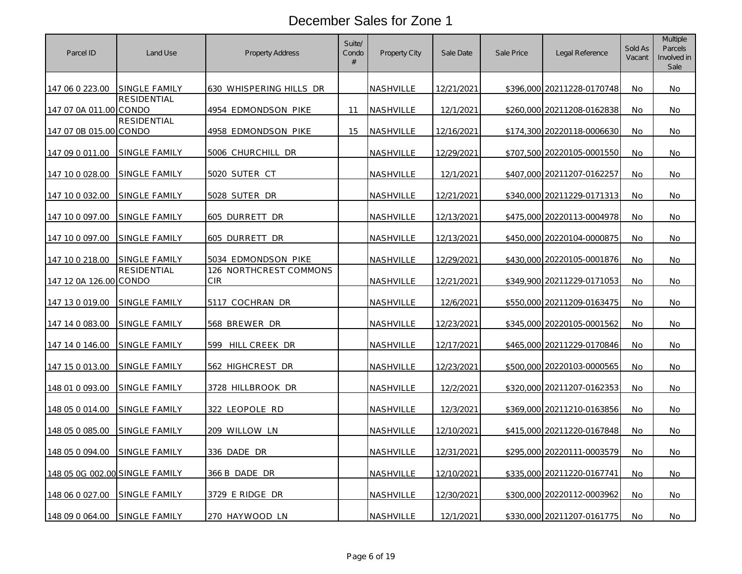| Parcel ID                      | Land Use             | <b>Property Address</b>       | Suite/<br>Condo<br># | Property City    | Sale Date         | Sale Price | Legal Reference            | Sold As<br>Vacant | <b>Multiple</b><br>Parcels<br>Involved in<br>Sale |
|--------------------------------|----------------------|-------------------------------|----------------------|------------------|-------------------|------------|----------------------------|-------------------|---------------------------------------------------|
| 147 06 0 223.00                | <b>SINGLE FAMILY</b> | 630 WHISPERING HILLS DR       |                      | <b>NASHVILLE</b> | 12/21/2021        |            | \$396,000 20211228-0170748 | No                | No                                                |
| 147 07 0A 011.00 CONDO         | <b>RESIDENTIAL</b>   | 4954 EDMONDSON PIKE           | 11                   | NASHVILLE        | 12/1/2021         |            | \$260,000 20211208-0162838 | No                | No                                                |
| 147 07 0B 015.00 CONDO         | <b>RESIDENTIAL</b>   | 4958 EDMONDSON PIKE           | 15                   | NASHVILLE        | 12/16/2021        |            | \$174,300 20220118-0006630 | No                | No                                                |
| 147 09 0 011.00                | SINGLE FAMILY        | 5006 CHURCHILL DR             |                      | NASHVILLE        | 12/29/2021        |            | \$707,500 20220105-0001550 | <b>No</b>         | No                                                |
| 147 10 0 028.00                | SINGLE FAMILY        | 5020 SUTER CT                 |                      | NASHVILLE        | 12/1/2021         |            | \$407,000 20211207-0162257 | <b>No</b>         | No.                                               |
| 147 10 0 032.00                | <b>SINGLE FAMILY</b> | 5028 SUTER DR                 |                      | NASHVILLE        | 12/21/2021        | \$340,000  | 20211229-0171313           | No                | No                                                |
| 147 10 0 097.00                | SINGLE FAMILY        | 605 DURRETT DR                |                      | NASHVILLE        | 12/13/2021        |            | \$475,000 20220113-0004978 | No                | No                                                |
| 147 10 0 097.00                | SINGLE FAMILY        | 605 DURRETT DR                |                      | NASHVILLE        | 12/13/2021        | \$450,000  | 20220104-0000875           | No                | No                                                |
| 147 10 0 218.00                | SINGLE FAMILY        | 5034 EDMONDSON PIKE           |                      | NASHVILLE        | 12/29/2021        |            | \$430,000 20220105-0001876 | No                | No                                                |
| 147 12 0A 126.00 CONDO         | <b>RESIDENTIAL</b>   | 126 NORTHCREST COMMONS<br>CIR |                      | <u>NASHVILLE</u> | <u>12/21/2021</u> |            | \$349,900 20211229-0171053 | No                | No                                                |
| 147 13 0 019.00                | SINGLE FAMILY        | 5117 COCHRAN DR               |                      | <u>NASHVILLE</u> | 12/6/2021         |            | \$550,000 20211209-0163475 | No                | No                                                |
| 147 14 0 083.00                | <b>SINGLE FAMILY</b> | 568 BREWER DR                 |                      | <u>NASHVILLE</u> | <u>12/23/2021</u> |            | \$345,000 20220105-0001562 | No                | No                                                |
| 147 14 0 146.00                | <b>SINGLE FAMILY</b> | 599 HILL CREEK DR             |                      | NASHVILLE        | 12/17/2021        |            | \$465,000 20211229-0170846 | No                | No                                                |
| 147 15 0 013.00                | SINGLE FAMILY        | 562 HIGHCREST DR              |                      | <u>NASHVILLE</u> | 12/23/2021        |            | \$500,000 20220103-0000565 | No                | No                                                |
| 148 01 0 093.00                | SINGLE FAMILY        | 3728 HILLBROOK DR             |                      | NASHVILLE        | 12/2/2021         |            | \$320,000 20211207-0162353 | No                | No                                                |
| 148 05 0 014.00                | SINGLE FAMILY        | 322 LEOPOLE RD                |                      | NASHVILLE        | 12/3/2021         |            | \$369,000 20211210-0163856 | No                | No                                                |
| 148 05 0 085.00                | <b>SINGLE FAMILY</b> | 209 WILLOW LN                 |                      | <u>NASHVILLE</u> | 12/10/2021        | \$415,000  | 20211220-0167848           | No                | No                                                |
| 148 05 0 094.00                | <b>SINGLE FAMILY</b> | 336 DADE DR                   |                      | NASHVILLE        | 12/31/2021        |            | \$295,000 20220111-0003579 | No                | No                                                |
| 148 05 0G 002.00 SINGLE FAMILY |                      | 366 B DADE DR                 |                      | NASHVILLE        | 12/10/2021        |            | \$335,000 20211220-0167741 | No                | No                                                |
| 148 06 0 027.00                | SINGLE FAMILY        | 3729 E RIDGE DR               |                      | NASHVILLE        | 12/30/2021        |            | \$300,000 20220112-0003962 | No                | No                                                |
| 148 09 0 064.00                | <b>SINGLE FAMILY</b> | 270 HAYWOOD LN                |                      | NASHVILLE        | 12/1/2021         |            | \$330,000 20211207-0161775 | No                | No                                                |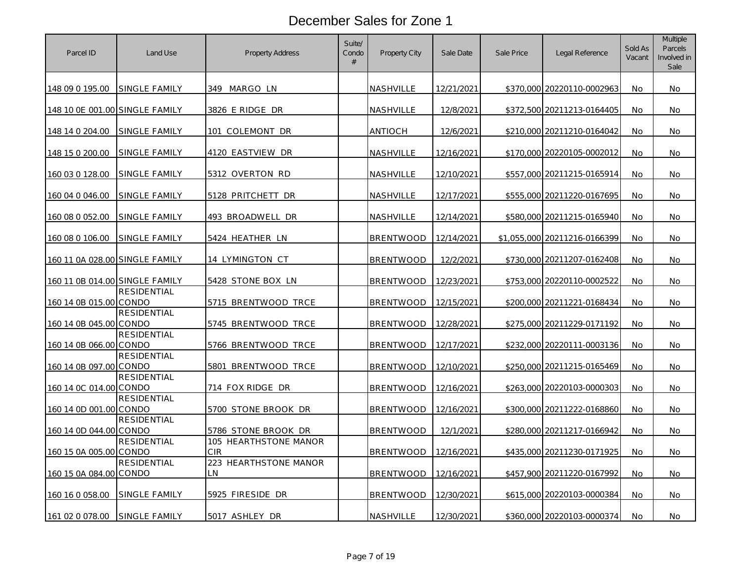| Parcel ID                      | Land Use             | <b>Property Address</b>             | Suite/<br>Condo<br># | Property City    | Sale Date  | Sale Price | Legal Reference              | Sold As<br>Vacant | <b>Multiple</b><br>Parcels<br>Involved in<br>Sale |
|--------------------------------|----------------------|-------------------------------------|----------------------|------------------|------------|------------|------------------------------|-------------------|---------------------------------------------------|
| 148 09 0 195.00                | SINGLE FAMILY        | 349 MARGO LN                        |                      | NASHVILLE        | 12/21/2021 |            | \$370,000 20220110-0002963   | No                | No                                                |
| 148 10 0E 001.00 SINGLE FAMILY |                      | 3826 E RIDGE DR                     |                      | NASHVILLE        | 12/8/2021  |            | \$372,500 20211213-0164405   | No                | No                                                |
| 148 14 0 204.00                | <b>SINGLE FAMILY</b> | COLEMONT DR<br>101                  |                      | ANTIOCH          | 12/6/2021  |            | \$210,000 20211210-0164042   | No                | No                                                |
| 148 15 0 200.00                | SINGLE FAMILY        | 4120 EASTVIEW DR                    |                      | NASHVILLE        | 12/16/2021 |            | \$170,000 20220105-0002012   | No                | No                                                |
| 160 03 0 128.00                | SINGLE FAMILY        | 5312 OVERTON RD                     |                      | <b>NASHVILLE</b> | 12/10/2021 |            | \$557,000 20211215-0165914   | No.               | No                                                |
| 160 04 0 046.00                | <b>SINGLE FAMILY</b> | 5128 PRITCHETT DR                   |                      | NASHVILLE        | 12/17/2021 | \$555,000  | 20211220-0167695             | No                | No                                                |
| 160 08 0 052.00                | SINGLE FAMILY        | 493 BROADWELL DR                    |                      | NASHVILLE        | 12/14/2021 |            | \$580,000 20211215-0165940   | <b>No</b>         | No                                                |
| 160 08 0 106.00                | SINGLE FAMILY        | 5424 HEATHER LN                     |                      | <b>BRENTWOOD</b> | 12/14/2021 |            | \$1,055,000 20211216-0166399 | No                | No                                                |
| 160 11 0A 028.00 SINGLE FAMILY |                      | <u>14 LYMINGTON CT</u>              |                      | <b>BRENTWOOD</b> | 12/2/2021  |            | \$730,000 20211207-0162408   | No                | No                                                |
| 160 11 0B 014.00 SINGLE FAMILY |                      | 5428 STONE BOX LN                   |                      | <b>BRENTWOOD</b> | 12/23/2021 |            | \$753,000 20220110-0002522   | No                | No                                                |
| 160 14 0B 015.00 CONDO         | <b>RESIDENTIAL</b>   | 5715 BRENTWOOD TRCE                 |                      | <b>BRENTWOOD</b> | 12/15/2021 |            | \$200,000 20211221-0168434   | No                | No                                                |
| 160 14 0B 045.00 CONDO         | RESIDENTIAL          | 5745 BRENTWOOD TRCE                 |                      | <b>BRENTWOOD</b> | 12/28/2021 |            | \$275,000 20211229-0171192   | No                | No                                                |
| 160 14 0B 066.00 CONDO         | <b>RESIDENTIAL</b>   | 5766 BRENTWOOD TRCE                 |                      | <b>BRENTWOOD</b> | 12/17/2021 |            | \$232,000 20220111-0003136   | No                | No                                                |
| 160 14 0B 097.00 CONDO         | <b>RESIDENTIAL</b>   | 5801 BRENTWOOD TRCE                 |                      | <b>BRENTWOOD</b> | 12/10/2021 |            | \$250,000 20211215-0165469   | No                | No                                                |
| 160 14 0C 014.00 CONDO         | <b>RESIDENTIAL</b>   | 714 FOX RIDGE DR                    |                      | <b>BRENTWOOD</b> | 12/16/2021 |            | \$263,000 20220103-0000303   | No                | No                                                |
| 160 14 0D 001.00 CONDO         | <b>RESIDENTIAL</b>   | 5700 STONE BROOK DR                 |                      | <b>BRENTWOOD</b> | 12/16/2021 |            | \$300,000 20211222-0168860   | No                | No.                                               |
| 160 14 0D 044.00 CONDO         | <b>RESIDENTIAL</b>   | 5786 STONE BROOK DR                 |                      | <b>BRENTWOOD</b> | 12/1/2021  | \$280,000  | 20211217-0166942             | No                | No                                                |
| 160 15 0A 005.00 CONDO         | <b>RESIDENTIAL</b>   | 105 HEARTHSTONE MANOR<br><b>CIR</b> |                      | <b>BRENTWOOD</b> | 12/16/2021 |            | \$435,000 20211230-0171925   | No                | No.                                               |
| 160 15 0A 084.00 CONDO         | <b>RESIDENTIAL</b>   | 223 HEARTHSTONE MANOR<br>LΝ         |                      | <b>BRENTWOOD</b> | 12/16/2021 |            | \$457,900 20211220-0167992   | No                | No                                                |
| 160 16 0 058.00                | SINGLE FAMILY        | 5925 FIRESIDE DR                    |                      | <b>BRENTWOOD</b> | 12/30/2021 |            | \$615,000 20220103-0000384   | No.               | No                                                |
| 161 02 0 078.00                | <b>SINGLE FAMILY</b> | 5017 ASHLEY DR                      |                      | NASHVILLE        | 12/30/2021 |            | \$360,000 20220103-0000374   | No                | No                                                |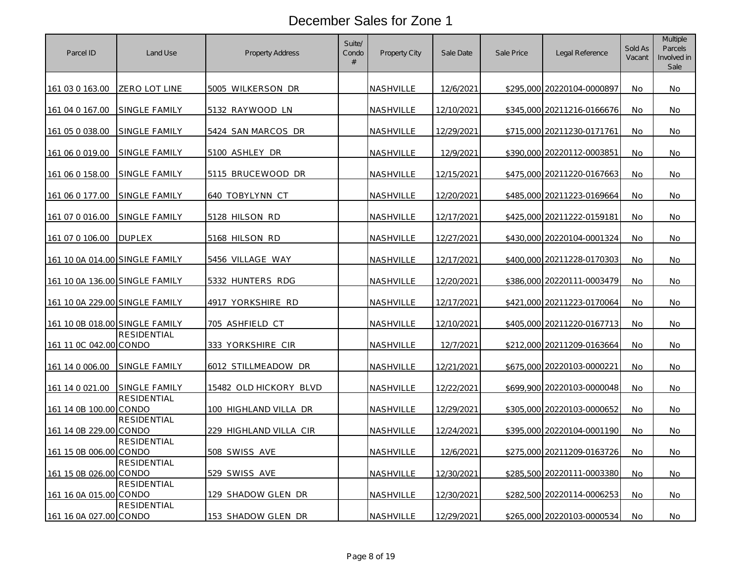| Parcel ID                             | Land Use           | <b>Property Address</b> | Suite/<br>Condo<br># | Property City    | Sale Date  | Sale Price | Legal Reference            | Sold As<br>Vacant | <b>Multiple</b><br>Parcels<br>Involved in<br>Sale |
|---------------------------------------|--------------------|-------------------------|----------------------|------------------|------------|------------|----------------------------|-------------------|---------------------------------------------------|
| 161 03 0 163.00                       | ZERO LOT LINE      | 5005 WILKERSON DR       |                      | NASHVILLE        | 12/6/2021  |            | \$295,000 20220104-0000897 | No                | No.                                               |
| 161 04 0 167.00                       | SINGLE FAMILY      | 5132 RAYWOOD LN         |                      | NASHVILLE        | 12/10/2021 |            | \$345,000 20211216-0166676 | No                | No                                                |
| <u>161 05 0 038.00</u>                | SINGLE FAMILY      | 5424 SAN MARCOS DR      |                      | NASHVILLE        | 12/29/2021 |            | \$715,000 20211230-0171761 | No                | No.                                               |
| 161 06 0 019.00                       | SINGLE FAMILY      | 5100 ASHLEY DR          |                      | NASHVILLE        | 12/9/2021  | \$390,000  | 20220112-0003851           | No                | No                                                |
| 161 06 0 158.00                       | SINGLE FAMILY      | 5115 BRUCEWOOD DR       |                      | <b>NASHVILLE</b> | 12/15/2021 |            | \$475,000 20211220-0167663 | <b>No</b>         | No.                                               |
| 161 06 0 177.00                       | SINGLE FAMILY      | 640 TOBYLYNN CT         |                      | NASHVILLE        | 12/20/2021 | \$485,000  | 20211223-0169664           | No                | No                                                |
| 161 07 0 016.00                       | SINGLE FAMILY      | 5128 HILSON RD          |                      | NASHVILLE        | 12/17/2021 |            | \$425,000 20211222-0159181 | <b>No</b>         | No.                                               |
| <u>161 07 0 106.00</u>                | <b>DUPLEX</b>      | 5168 HILSON RD          |                      | NASHVILLE        | 12/27/2021 | \$430,000  | 20220104-0001324           | No                | No                                                |
| 161 10 0A 014.00 SINGLE FAMILY        |                    | 5456 VILLAGE WAY        |                      | <u>NASHVILLE</u> | 12/17/2021 |            | \$400,000 20211228-0170303 | No                | No                                                |
| 161 10 0A 136.00 SINGLE FAMILY        |                    | 5332 HUNTERS RDG        |                      | NASHVILLE        | 12/20/2021 |            | \$386,000 20220111-0003479 | No                | No.                                               |
| <u>161 10 0A 229.00 SINGLE FAMILY</u> |                    | 4917 YORKSHIRE RD       |                      | <u>NASHVILLE</u> | 12/17/2021 | \$421,000  | 20211223-0170064           | <b>No</b>         | No                                                |
| 161 10 0B 018.00 SINGLE FAMILY        |                    | 705 ASHFIELD CT         |                      | NASHVILLE        | 12/10/2021 | \$405,000  | 20211220-0167713           | <b>No</b>         | No                                                |
| 161 11 0C 042.00 CONDO                | <b>RESIDENTIAL</b> | 333 YORKSHIRE CIR       |                      | NASHVILLE        | 12/7/2021  | \$212,000  | 20211209-0163664           | No                | No                                                |
| 161 14 0 006.00                       | SINGLE FAMILY      | 6012 STILLMEADOW DR     |                      | NASHVILLE        | 12/21/2021 |            | \$675,000 20220103-0000221 | <b>No</b>         | No                                                |
| 161 14 0 021.00                       | SINGLE FAMILY      | 15482 OLD HICKORY BLVD  |                      | NASHVILLE        | 12/22/2021 | \$699,900  | 20220103-0000048           | No                | No                                                |
| 161 14 0B 100.00 CONDO                | <b>RESIDENTIAL</b> | 100 HIGHLAND VILLA DR   |                      | NASHVILLE        | 12/29/2021 |            | \$305,000 20220103-0000652 | No                | No.                                               |
| 161 14 0B 229.00 CONDO                | <b>RESIDENTIAL</b> | 229 HIGHLAND VILLA CIR  |                      | NASHVILLE        | 12/24/2021 | \$395,000  | 20220104-0001190           | No                | No                                                |
| 161 15 0B 006.00 CONDO                | <b>RESIDENTIAL</b> | 508 SWISS AVE           |                      | NASHVILLE        | 12/6/2021  |            | \$275,000 20211209-0163726 | No                | No.                                               |
| 161 15 0B 026.00 CONDO                | <b>RESIDENTIAL</b> | 529 SWISS AVE           |                      | NASHVILLE        | 12/30/2021 |            | \$285,500 20220111-0003380 | No                | No                                                |
| 161 16 0A 015.00 CONDO                | RESIDENTIAL        | 129 SHADOW GLEN DR      |                      | NASHVILLE        | 12/30/2021 |            | \$282,500 20220114-0006253 | <b>No</b>         | No.                                               |
| 161 16 0A 027.00 CONDO                | <b>RESIDENTIAL</b> | 153 SHADOW GLEN DR      |                      | NASHVILLE        | 12/29/2021 |            | \$265,000 20220103-0000534 | No                | No                                                |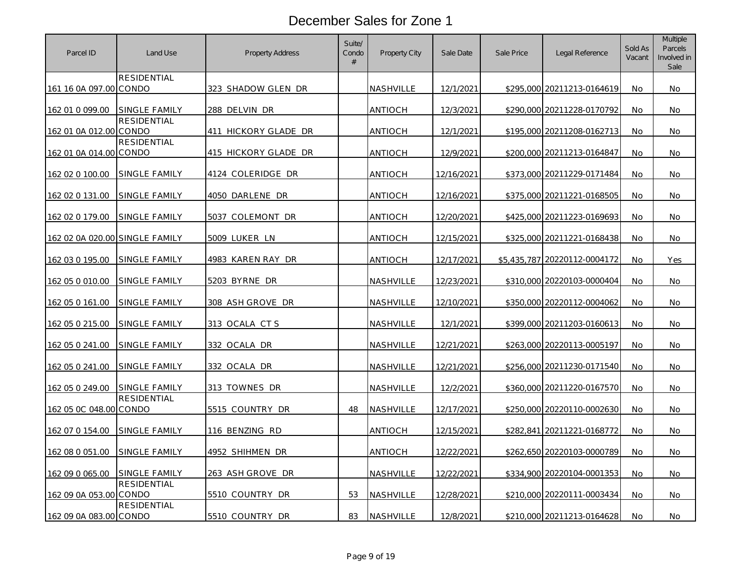| Parcel ID                      | Land Use             | <b>Property Address</b> | Suite/<br>Condo<br># | Property City    | Sale Date  | Sale Price | Legal Reference              | Sold As<br>Vacant | <b>Multiple</b><br>Parcels<br>Involved in<br>Sale |
|--------------------------------|----------------------|-------------------------|----------------------|------------------|------------|------------|------------------------------|-------------------|---------------------------------------------------|
| 161 16 0A 097.00 CONDO         | RESIDENTIAL          | 323 SHADOW GLEN DR      |                      | NASHVILLE        | 12/1/2021  |            | \$295,000 20211213-0164619   | No.               | No.                                               |
| 162 01 0 099.00                | SINGLE FAMILY        | 288 DELVIN DR           |                      | <b>ANTIOCH</b>   | 12/3/2021  |            | \$290,000 20211228-0170792   | No                | No                                                |
| 162 01 0A 012.00 CONDO         | <b>RESIDENTIAL</b>   | 411 HICKORY GLADE DR    |                      | <b>ANTIOCH</b>   | 12/1/2021  |            | \$195,000 20211208-0162713   | <b>No</b>         | No.                                               |
| 162 01 0A 014.00 CONDO         | RESIDENTIAL          | 415 HICKORY GLADE DR    |                      | <b>ANTIOCH</b>   | 12/9/2021  | \$200,000  | 20211213-0164847             | <b>No</b>         | No                                                |
| 162 02 0 100.00                | SINGLE FAMILY        | 4124 COLERIDGE DR       |                      | ANTIOCH          | 12/16/2021 |            | \$373,000 20211229-0171484   | No.               | No                                                |
| 162 02 0 131.00                | SINGLE FAMILY        | 4050 DARLENE DR         |                      | ANTIOCH          | 12/16/2021 | \$375,000  | 20211221-0168505             | No                | No                                                |
| 162 02 0 179.00                | SINGLE FAMILY        | 5037 COLEMONT DR        |                      | ANTIOCH          | 12/20/2021 |            | \$425,000 20211223-0169693   | No                | No                                                |
| 162 02 0A 020.00 SINGLE FAMILY |                      | 5009 LUKER LN           |                      | ANTIOCH          | 12/15/2021 |            | \$325,000 20211221-0168438   | No                | No                                                |
| 162 03 0 195.00                | SINGLE FAMILY        | 4983 KAREN RAY DR       |                      | <b>ANTIOCH</b>   | 12/17/2021 |            | \$5,435,787 20220112-0004172 | <b>No</b>         | Yes                                               |
| 162 05 0 010.00                | <b>SINGLE FAMILY</b> | 5203 BYRNE DR           |                      | NASHVILLE        | 12/23/2021 |            | \$310,000 20220103-0000404   | <b>No</b>         | No.                                               |
| 162 05 0 161.00                | SINGLE FAMILY        | 308 ASH GROVE DR        |                      | NASHVILLE        | 12/10/2021 |            | \$350,000 20220112-0004062   | <b>No</b>         | No                                                |
| 162 05 0 215.00                | SINGLE FAMILY        | 313 OCALA CT S          |                      | NASHVILLE        | 12/1/2021  |            | \$399,000 20211203-0160613   | No                | No                                                |
| 162 05 0 241.00                | SINGLE FAMILY        | 332 OCALA DR            |                      | <b>NASHVILLE</b> | 12/21/2021 |            | \$263,000 20220113-0005197   | No                | No                                                |
| 162 05 0 241.00                | SINGLE FAMILY        | 332 OCALA DR            |                      | NASHVILLE        | 12/21/2021 |            | \$256,000 20211230-0171540   | No                | No                                                |
| 162 05 0 249.00                | SINGLE FAMILY        | 313 TOWNES DR           |                      | NASHVILLE        | 12/2/2021  |            | \$360,000 20211220-0167570   | <b>No</b>         | <b>No</b>                                         |
| 162 05 0C 048.00 CONDO         | <b>RESIDENTIAL</b>   | 5515 COUNTRY DR         | 48                   | <b>NASHVILLE</b> | 12/17/2021 |            | \$250,000 20220110-0002630   | No                | No.                                               |
| 162 07 0 154.00                | SINGLE FAMILY        | 116 BENZING RD          |                      | <b>ANTIOCH</b>   | 12/15/2021 | \$282.841  | 20211221-0168772             | <b>No</b>         | No.                                               |
| 162 08 0 051.00                | <b>SINGLE FAMILY</b> | 4952 SHIHMEN DR         |                      | <b>ANTIOCH</b>   | 12/22/2021 |            | \$262,650 20220103-0000789   | <b>No</b>         | No.                                               |
| 162 09 0 065.00                | SINGLE FAMILY        | 263 ASH GROVE DR        |                      | NASHVILLE        | 12/22/2021 |            | \$334,900 20220104-0001353   | No                | No                                                |
| 162 09 0A 053.00 CONDO         | <b>RESIDENTIAL</b>   | 5510 COUNTRY DR         | 53                   | NASHVILLE        | 12/28/2021 |            | \$210,000 20220111-0003434   | <b>No</b>         | No.                                               |
| 162 09 0A 083.00 CONDO         | <b>RESIDENTIAL</b>   | 5510 COUNTRY DR         | 83                   | NASHVILLE        | 12/8/2021  |            | \$210,000 20211213-0164628   | No                | No                                                |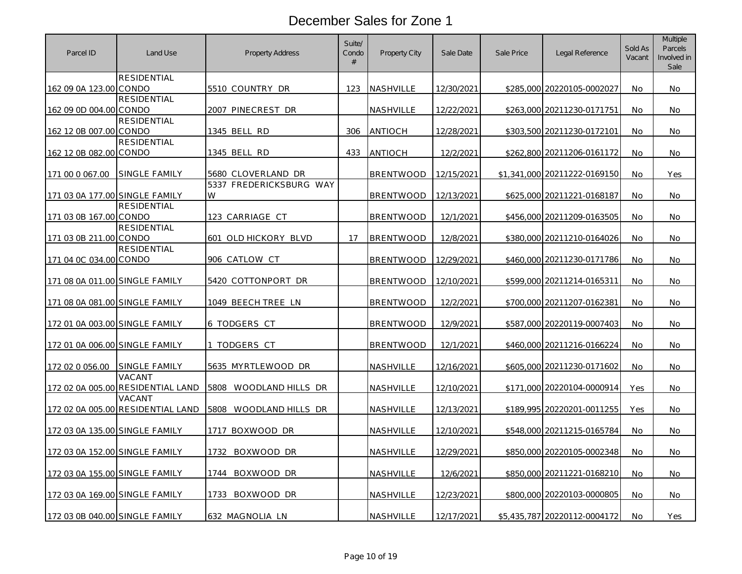| Parcel ID                      | Land Use                                    | Property Address             | Suite/<br>Condo<br>$\#$ | <b>Property City</b> | Sale Date  | Sale Price | Legal Reference              | Sold As<br>Vacant | <b>Multiple</b><br>Parcels<br>Involved in<br>Sale |
|--------------------------------|---------------------------------------------|------------------------------|-------------------------|----------------------|------------|------------|------------------------------|-------------------|---------------------------------------------------|
| 162 09 0A 123.00 CONDO         | <b>RESIDENTIAL</b>                          | 5510 COUNTRY DR              | 123                     | <b>NASHVILLE</b>     | 12/30/2021 |            | \$285,000 20220105-0002027   | <b>No</b>         | No                                                |
|                                | <b>RESIDENTIAL</b>                          |                              |                         |                      |            |            |                              |                   |                                                   |
| 162 09 0D 004.00 CONDO         | RESIDENTIAL                                 | 2007 PINECREST DR            |                         | NASHVILLE            | 12/22/2021 |            | \$263,000 20211230-0171751   | No                | No                                                |
| 162 12 0B 007.00 CONDO         |                                             | 1345 BELL RD                 | 306                     | <b>ANTIOCH</b>       | 12/28/2021 |            | \$303,500 20211230-0172101   | <b>No</b>         | No.                                               |
| 162 12 0B 082.00 CONDO         | <b>RESIDENTIAL</b>                          | 1345 BELL RD                 | 433                     | <b>ANTIOCH</b>       | 12/2/2021  |            | \$262,800 20211206-0161172   | <b>No</b>         | No                                                |
| 171 00 0 067.00                | SINGLE FAMILY                               | 5680 CLOVERLAND DR           |                         | <b>BRENTWOOD</b>     | 12/15/2021 |            | \$1,341,000 20211222-0169150 | <b>No</b>         | Yes                                               |
| 171 03 0A 177.00 SINGLE FAMILY |                                             | 5337 FREDERICKSBURG WAY<br>W |                         | <b>BRENTWOOD</b>     | 12/13/2021 | \$625,000  | 20211221-0168187             | No                | No                                                |
| 171 03 0B 167.00 CONDO         | <b>RESIDENTIAL</b>                          | 123 CARRIAGE CT              |                         | <b>BRENTWOOD</b>     | 12/1/2021  |            | \$456,000 20211209-0163505   | No                | No                                                |
| 171 03 0B 211.00 CONDO         | <b>RESIDENTIAL</b>                          | 601 OLD HICKORY BLVD         | 17                      | <b>BRENTWOOD</b>     | 12/8/2021  |            | \$380,000 20211210-0164026   | No                | No                                                |
| 171 04 0C 034.00 CONDO         | <b>RESIDENTIAL</b>                          | 906 CATLOW CT                |                         | <b>BRENTWOOD</b>     | 12/29/2021 |            | \$460,000 20211230-0171786   | No                | No                                                |
| 171 08 0A 011.00 SINGLE FAMILY |                                             | 5420 COTTONPORT DR           |                         | <b>BRENTWOOD</b>     | 12/10/2021 |            | \$599,000 20211214-0165311   | No                | No                                                |
| 171 08 0A 081.00 SINGLE FAMILY |                                             | 1049 BEECH TREE LN           |                         | <b>BRENTWOOD</b>     | 12/2/2021  |            | \$700,000 20211207-0162381   | <b>No</b>         | No                                                |
| 172 01 0A 003.00 SINGLE FAMILY |                                             | 6 TODGERS CT                 |                         | <b>BRENTWOOD</b>     | 12/9/2021  |            | \$587,000 20220119-0007403   | No                | No                                                |
| 172 01 0A 006.00 SINGLE FAMILY |                                             | 1 TODGERS CT                 |                         | <b>BRENTWOOD</b>     | 12/1/2021  |            | \$460,000 20211216-0166224   | <b>No</b>         | No.                                               |
| 172 02 0 056.00                | SINGLE FAMILY                               | 5635 MYRTLEWOOD DR           |                         | NASHVILLE            | 12/16/2021 |            | \$605,000 20211230-0171602   | No                | No                                                |
|                                | VACANT<br>172 02 0A 005.00 RESIDENTIAL LAND | 5808<br>WOODLAND HILLS DR    |                         | <b>NASHVILLE</b>     | 12/10/2021 | \$171,000  | 20220104-0000914             | Yes               | No                                                |
|                                | VACANT<br>172 02 0A 005.00 RESIDENTIAL LAND | 5808 WOODLAND HILLS DR       |                         | NASHVILLE            | 12/13/2021 |            | \$189,995 20220201-0011255   | Yes               | No                                                |
| 172 03 0A 135.00 SINGLE FAMILY |                                             | 1717 BOXWOOD DR              |                         | <b>NASHVILLE</b>     | 12/10/2021 |            | \$548,000 20211215-0165784   | No                | No                                                |
| 172 03 0A 152.00 SINGLE FAMILY |                                             | 1732<br>BOXWOOD DR           |                         | NASHVILLE            | 12/29/2021 |            | \$850,000 20220105-0002348   | No                | No                                                |
| 172 03 0A 155.00 SINGLE FAMILY |                                             | BOXWOOD DR<br>1744           |                         | NASHVILLE            | 12/6/2021  |            | \$850,000 20211221-0168210   | <b>No</b>         | No.                                               |
| 172 03 0A 169.00 SINGLE FAMILY |                                             | 1733 BOXWOOD DR              |                         | NASHVILLE            | 12/23/2021 |            | \$800,000 20220103-0000805   | No                | No.                                               |
| 172 03 0B 040.00 SINGLE FAMILY |                                             | 632 MAGNOLIA LN              |                         | NASHVILLE            | 12/17/2021 |            | \$5,435,787 20220112-0004172 | No                | Yes                                               |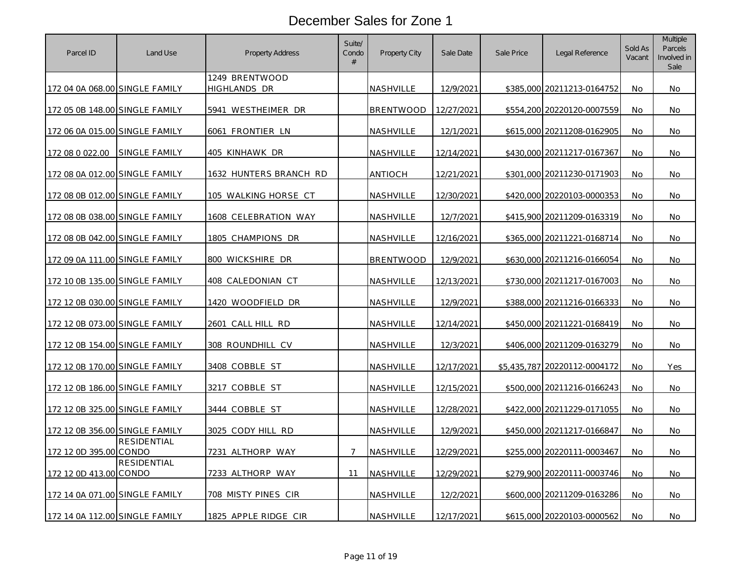| Parcel ID                      | Land Use             | <b>Property Address</b>        | Suite/<br>Condo<br># | Property City    | Sale Date         | Sale Price | Legal Reference              | Sold As<br>Vacant | <b>Multiple</b><br>Parcels<br>Involved in<br>Sale |
|--------------------------------|----------------------|--------------------------------|----------------------|------------------|-------------------|------------|------------------------------|-------------------|---------------------------------------------------|
| 172 04 0A 068.00 SINGLE FAMILY |                      | 1249 BRENTWOOD<br>HIGHLANDS DR |                      | <b>NASHVILLE</b> | 12/9/2021         |            | \$385,000 20211213-0164752   | No                | No.                                               |
| 172 05 0B 148.00 SINGLE FAMILY |                      | 5941 WESTHEIMER DR             |                      | <b>BRENTWOOD</b> | 12/27/2021        |            | \$554,200 20220120-0007559   | No                | No                                                |
| 172 06 0A 015.00 SINGLE FAMILY |                      | 6061 FRONTIER LN               |                      | <u>NASHVILLE</u> | 12/1/2021         |            | \$615,000 20211208-0162905   | <b>No</b>         | No.                                               |
| 172 08 0 022.00                | <b>SINGLE FAMILY</b> | 405 KINHAWK DR                 |                      | NASHVILLE        | 12/14/2021        |            | \$430,000 20211217-0167367   | <b>No</b>         | No                                                |
| 172 08 0A 012.00 SINGLE FAMILY |                      | 1632 HUNTERS BRANCH RD         |                      | <b>ANTIOCH</b>   | 12/21/2021        |            | \$301,000 20211230-0171903   | <b>No</b>         | No.                                               |
| 172 08 0B 012.00 SINGLE FAMILY |                      | 105 WALKING HORSE CT           |                      | NASHVILLE        | 12/30/2021        | \$420,000  | 20220103-0000353             | No                | No.                                               |
| 172 08 0B 038.00 SINGLE FAMILY |                      | 1608 CELEBRATION WAY           |                      | NASHVILLE        | 12/7/2021         |            | \$415,900 20211209-0163319   | No                | No                                                |
| 172 08 0B 042.00 SINGLE FAMILY |                      | 1805 CHAMPIONS DR              |                      | NASHVILLE        | 12/16/2021        | \$365,000  | 20211221-0168714             | No                | No                                                |
| 172 09 0A 111.00 SINGLE FAMILY |                      | 800 WICKSHIRE DR               |                      | <b>BRENTWOOD</b> | 12/9/2021         |            | \$630,000 20211216-0166054   | No                | No                                                |
| 172 10 0B 135.00 SINGLE FAMILY |                      | 408 CALEDONIAN CT              |                      | <u>NASHVILLE</u> | 12/13/2021        |            | \$730,000 20211217-0167003   | No                | No                                                |
| 172 12 0B 030.00 SINGLE FAMILY |                      | 1420 WOODFIELD DR              |                      | NASHVILLE        | 12/9/2021         |            | \$388,000 20211216-0166333   | <b>No</b>         | No                                                |
| 172 12 0B 073.00 SINGLE FAMILY |                      | 2601 CALL HILL RD              |                      | NASHVILLE        | <u>12/14/2021</u> |            | \$450,000 20211221-0168419   | No                | No                                                |
| 172 12 0B 154.00 SINGLE FAMILY |                      | 308 ROUNDHILL CV               |                      | NASHVILLE        | 12/3/2021         |            | \$406,000 20211209-0163279   | <b>No</b>         | No.                                               |
| 172 12 0B 170.00 SINGLE FAMILY |                      | 3408 COBBLE ST                 |                      | NASHVILLE        | 12/17/2021        |            | \$5,435,787 20220112-0004172 | No                | Yes                                               |
| 172 12 0B 186.00 SINGLE FAMILY |                      | 3217 COBBLE ST                 |                      | NASHVILLE        | 12/15/2021        |            | \$500,000 20211216-0166243   | No                | No                                                |
| 172 12 0B 325.00 SINGLE FAMILY |                      | 3444 COBBLE ST                 |                      | NASHVILLE        | 12/28/2021        |            | \$422,000 20211229-0171055   | No                | No                                                |
| 172 12 0B 356.00 SINGLE FAMILY |                      | 3025 CODY HILL RD              |                      | <u>NASHVILLE</u> | 12/9/2021         |            | \$450,000 20211217-0166847   | No                | No                                                |
| 172 12 0D 395.00 CONDO         | <b>RESIDENTIAL</b>   | 7231 ALTHORP WAY               | $\overline{7}$       | NASHVILLE        | 12/29/2021        |            | \$255,000 20220111-0003467   | No                | No                                                |
| 172 12 0D 413.00 CONDO         | RESIDENTIAL          | 7233 ALTHORP WAY               | 11                   | <b>NASHVILLE</b> | 12/29/2021        |            | \$279,900 20220111-0003746   | No                | <b>No</b>                                         |
| 172 14 0A 071.00 SINGLE FAMILY |                      | 708 MISTY PINES CIR            |                      | NASHVILLE        | 12/2/2021         |            | \$600,000 20211209-0163286   | No                | No.                                               |
| 172 14 0A 112.00 SINGLE FAMILY |                      | 1825 APPLE RIDGE CIR           |                      | NASHVILLE        | 12/17/2021        |            | \$615,000 20220103-0000562   | No                | No                                                |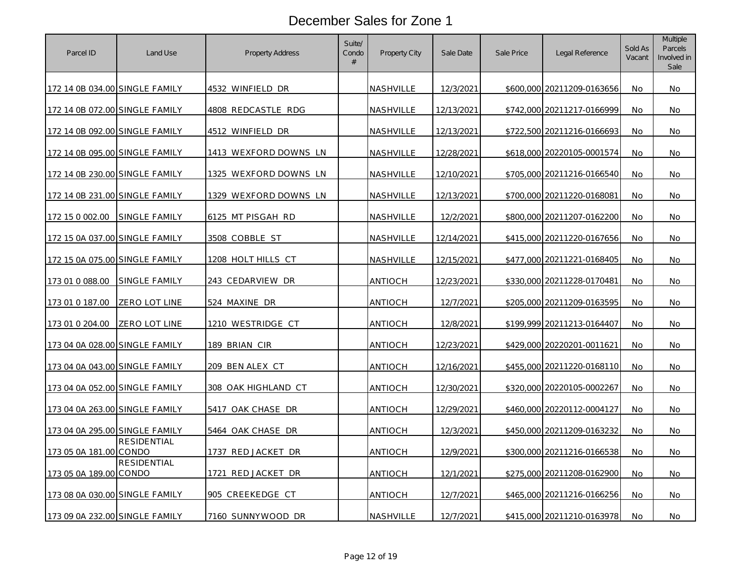| Parcel ID                      | Land Use             | Property Address      | Suite/<br>Condo<br># | Property City    | Sale Date  | Sale Price | Legal Reference            | Sold As<br>Vacant | <b>Multiple</b><br>Parcels<br>Involved in<br>Sale |
|--------------------------------|----------------------|-----------------------|----------------------|------------------|------------|------------|----------------------------|-------------------|---------------------------------------------------|
| 172 14 0B 034.00 SINGLE FAMILY |                      | 4532 WINFIELD DR      |                      | NASHVILLE        | 12/3/2021  |            | \$600,000 20211209-0163656 | No.               | No.                                               |
| 172 14 0B 072.00 SINGLE FAMILY |                      | 4808 REDCASTLE RDG    |                      | NASHVILLE        | 12/13/2021 |            | \$742,000 20211217-0166999 | No                | No.                                               |
| 172 14 0B 092.00 SINGLE FAMILY |                      | 4512 WINFIELD DR      |                      | NASHVILLE        | 12/13/2021 |            | \$722,500 20211216-0166693 | No                | No                                                |
| 172 14 0B 095.00 SINGLE FAMILY |                      | 1413 WEXFORD DOWNS LN |                      | NASHVILLE        | 12/28/2021 |            | \$618,000 20220105-0001574 | No                | No                                                |
| 172 14 0B 230.00 SINGLE FAMILY |                      | 1325 WEXFORD DOWNS LN |                      | NASHVILLE        | 12/10/2021 |            | \$705,000 20211216-0166540 | No                | No                                                |
| 172 14 0B 231.00 SINGLE FAMILY |                      | 1329 WEXFORD DOWNS LN |                      | <b>NASHVILLE</b> | 12/13/2021 | \$700,000  | 20211220-0168081           | No                | No                                                |
| 172 15 0 002.00                | SINGLE FAMILY        | 6125 MT PISGAH RD     |                      | NASHVILLE        | 12/2/2021  |            | \$800,000 20211207-0162200 | <b>No</b>         | No.                                               |
| 172 15 0A 037.00 SINGLE FAMILY |                      | 3508 COBBLE ST        |                      | <u>NASHVILLE</u> | 12/14/2021 | \$415,000  | 20211220-0167656           | No                | No                                                |
| 172 15 0A 075.00 SINGLE FAMILY |                      | 1208 HOLT HILLS CT    |                      | <u>NASHVILLE</u> | 12/15/2021 |            | \$477,000 20211221-0168405 | No                | No                                                |
| 173 01 0 088.00                | <b>SINGLE FAMILY</b> | 243 CEDARVIEW DR      |                      | ANTIOCH          | 12/23/2021 |            | \$330,000 20211228-0170481 | <b>No</b>         | No.                                               |
| 173 01 0 187.00                | ZERO LOT LINE        | 524 MAXINE DR         |                      | <b>ANTIOCH</b>   | 12/7/2021  | \$205,000  | 20211209-0163595           | <b>No</b>         | No.                                               |
| 173 01 0 204.00                | ZERO LOT LINE        | 1210 WESTRIDGE CT     |                      | <b>ANTIOCH</b>   | 12/8/2021  |            | \$199,999 20211213-0164407 | <b>No</b>         | No                                                |
| 173 04 0A 028.00 SINGLE FAMILY |                      | 189 BRIAN CIR         |                      | ANTIOCH          | 12/23/2021 |            | \$429,000 20220201-0011621 | No                | No                                                |
| 173 04 0A 043.00 SINGLE FAMILY |                      | 209 BEN ALEX CT       |                      | ANTIOCH          | 12/16/2021 |            | \$455,000 20211220-0168110 | No                | No                                                |
| 173 04 0A 052.00 SINGLE FAMILY |                      | 308 OAK HIGHLAND CT   |                      | ANTIOCH          | 12/30/2021 |            | \$320,000 20220105-0002267 | <b>No</b>         | No                                                |
| 173 04 0A 263.00 SINGLE FAMILY |                      | 5417 OAK CHASE DR     |                      | ANTIOCH          | 12/29/2021 |            | \$460,000 20220112-0004127 | No                | No                                                |
| 173 04 0A 295.00 SINGLE FAMILY |                      | 5464 OAK CHASE DR     |                      | ANTIOCH          | 12/3/2021  |            | \$450,000 20211209-0163232 | No                | No                                                |
| 173 05 0A 181.00 CONDO         | <b>RESIDENTIAL</b>   | 1737 RED JACKET DR    |                      | ANTIOCH          | 12/9/2021  |            | \$300,000 20211216-0166538 | No                | No                                                |
| 173 05 0A 189.00 CONDO         | RESIDENTIAL          | 1721 RED JACKET DR    |                      | <b>ANTIOCH</b>   | 12/1/2021  |            | \$275,000 20211208-0162900 | <b>No</b>         | No.                                               |
| 173 08 0A 030.00 SINGLE FAMILY |                      | 905 CREEKEDGE CT      |                      | <b>ANTIOCH</b>   | 12/7/2021  |            | \$465,000 20211216-0166256 | <b>No</b>         | No.                                               |
| 173 09 0A 232.00 SINGLE FAMILY |                      | 7160 SUNNYWOOD DR     |                      | NASHVILLE        | 12/7/2021  |            | \$415,000 20211210-0163978 | No                | No                                                |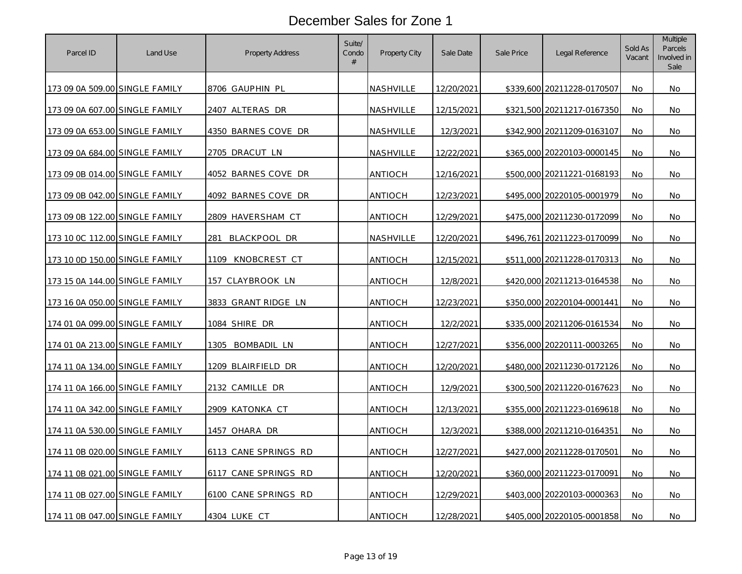| Parcel ID                      | Land Use | Property Address     | Suite/<br>Condo<br># | Property City    | Sale Date  | Sale Price | Legal Reference            | Sold As<br>Vacant | <b>Multiple</b><br>Parcels<br>Involved in<br>Sale |
|--------------------------------|----------|----------------------|----------------------|------------------|------------|------------|----------------------------|-------------------|---------------------------------------------------|
| 173 09 0A 509.00 SINGLE FAMILY |          | 8706 GAUPHIN PL      |                      | <b>NASHVILLE</b> | 12/20/2021 |            | \$339,600 20211228-0170507 | No                | No.                                               |
| 173 09 0A 607.00 SINGLE FAMILY |          | 2407 ALTERAS DR      |                      | NASHVILLE        | 12/15/2021 |            | \$321,500 20211217-0167350 | No                | No                                                |
| 173 09 0A 653.00 SINGLE FAMILY |          | 4350 BARNES COVE DR  |                      | NASHVILLE        | 12/3/2021  |            | \$342,900 20211209-0163107 | <b>No</b>         | No.                                               |
| 173 09 0A 684.00 SINGLE FAMILY |          | 2705 DRACUT LN       |                      | NASHVILLE        | 12/22/2021 |            | \$365,000 20220103-0000145 | No                | No                                                |
| 173 09 0B 014.00 SINGLE FAMILY |          | 4052 BARNES COVE DR  |                      | <b>ANTIOCH</b>   | 12/16/2021 |            | \$500,000 20211221-0168193 | No                | No                                                |
| 173 09 0B 042.00 SINGLE FAMILY |          | 4092 BARNES COVE DR  |                      | ANTIOCH          | 12/23/2021 | \$495,000  | 20220105-0001979           | No                | No                                                |
| 173 09 0B 122.00 SINGLE FAMILY |          | 2809 HAVERSHAM CT    |                      | <b>ANTIOCH</b>   | 12/29/2021 |            | \$475,000 20211230-0172099 | No                | No                                                |
| 173 10 OC 112.00 SINGLE FAMILY |          | 281<br>BLACKPOOL DR  |                      | NASHVILLE        | 12/20/2021 |            | \$496,761 20211223-0170099 | No                | <b>No</b>                                         |
| 173 10 0D 150.00 SINGLE FAMILY |          | 1109<br>KNOBCREST CT |                      | ANTIOCH          | 12/15/2021 | \$511,000  | 20211228-0170313           | <b>No</b>         | No                                                |
| 173 15 0A 144.00 SINGLE FAMILY |          | 157 CLAYBROOK LN     |                      | ANTIOCH          | 12/8/2021  | \$420,000  | 20211213-0164538           | No                | No                                                |
| 173 16 0A 050.00 SINGLE FAMILY |          | 3833 GRANT RIDGE LN  |                      | ANTIOCH          | 12/23/2021 |            | \$350,000 20220104-0001441 | <b>No</b>         | No.                                               |
| 174 01 0A 099.00 SINGLE FAMILY |          | 1084 SHIRE DR        |                      | <b>ANTIOCH</b>   | 12/2/2021  | \$335,000  | 20211206-0161534           | <b>No</b>         | No                                                |
| 174 01 0A 213.00 SINGLE FAMILY |          | BOMBADIL LN<br>1305  |                      | <b>ANTIOCH</b>   | 12/27/2021 |            | \$356,000 20220111-0003265 | No                | No                                                |
| 174 11 0A 134.00 SINGLE FAMILY |          | 1209 BLAIRFIELD DR   |                      | ANTIOCH          | 12/20/2021 |            | \$480,000 20211230-0172126 | No                | No                                                |
| 174 11 0A 166.00 SINGLE FAMILY |          | 2132 CAMILLE DR      |                      | ANTIOCH          | 12/9/2021  |            | \$300,500 20211220-0167623 | <b>No</b>         | No                                                |
| 174 11 0A 342.00 SINGLE FAMILY |          | 2909 KATONKA CT      |                      | <b>ANTIOCH</b>   | 12/13/2021 |            | \$355,000 20211223-0169618 | No                | No                                                |
| 174 11 0A 530.00 SINGLE FAMILY |          | 1457 OHARA DR        |                      | <b>ANTIOCH</b>   | 12/3/2021  | \$388,000  | 20211210-0164351           | <b>No</b>         | <b>No</b>                                         |
| 174 11 0B 020.00 SINGLE FAMILY |          | 6113 CANE SPRINGS RD |                      | ANTIOCH          | 12/27/2021 |            | \$427,000 20211228-0170501 | No                | No                                                |
| 174 11 0B 021.00 SINGLE FAMILY |          | 6117 CANE SPRINGS RD |                      | ANTIOCH          | 12/20/2021 |            | \$360,000 20211223-0170091 | No                | No                                                |
| 174 11 0B 027.00 SINGLE FAMILY |          | 6100 CANE SPRINGS RD |                      | <b>ANTIOCH</b>   | 12/29/2021 |            | \$403,000 20220103-0000363 | <b>No</b>         | No                                                |
| 174 11 0B 047.00 SINGLE FAMILY |          | 4304 LUKE CT         |                      | ANTIOCH          | 12/28/2021 |            | \$405,000 20220105-0001858 | No                | No                                                |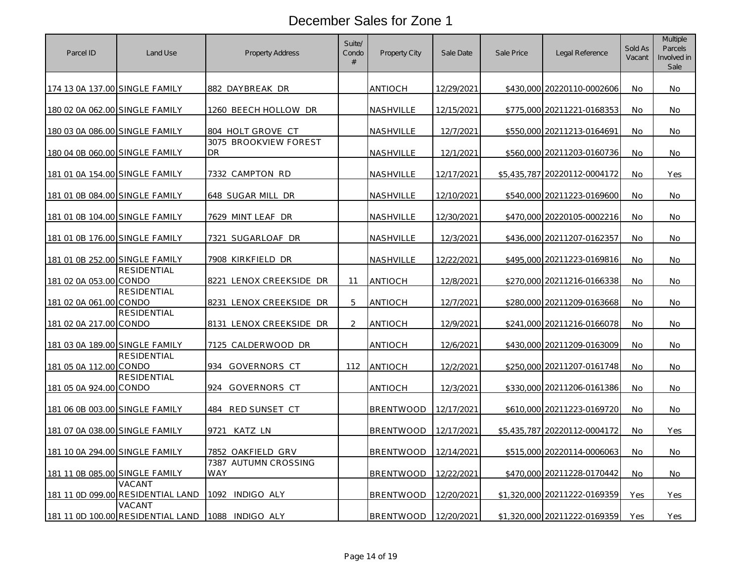| Parcel ID                             | Land Use                                    | Property Address            | Suite/<br>Condo<br># | Property City    | Sale Date  | Sale Price  | Legal Reference              | Sold As<br>Vacant | <b>Multiple</b><br>Parcels<br>Involved in<br>Sale |
|---------------------------------------|---------------------------------------------|-----------------------------|----------------------|------------------|------------|-------------|------------------------------|-------------------|---------------------------------------------------|
| 174 13 0A 137.00 SINGLE FAMILY        |                                             | 882 DAYBREAK DR             |                      | ANTIOCH          | 12/29/2021 |             | \$430,000 20220110-0002606   | No.               | No.                                               |
| 180 02 0A 062.00 SINGLE FAMILY        |                                             | 1260 BEECH HOLLOW DR        |                      | NASHVILLE        | 12/15/2021 | \$775,000   | 20211221-0168353             | No                | No                                                |
| 180 03 0A 086.00 SINGLE FAMILY        |                                             | 804 HOLT GROVE CT           |                      | NASHVILLE        | 12/7/2021  |             | \$550,000 20211213-0164691   | <b>No</b>         | No.                                               |
| 180 04 0B 060.00 SINGLE FAMILY        |                                             | 3075 BROOKVIEW FOREST<br>DR |                      | NASHVILLE        | 12/1/2021  | \$560,000   | 20211203-0160736             | <b>No</b>         | No                                                |
| 181 01 0A 154.00 SINGLE FAMILY        |                                             | 7332 CAMPTON RD             |                      | NASHVILLE        | 12/17/2021 |             | \$5.435.787 20220112-0004172 | No.               | Yes                                               |
| 181 01 0B 084.00 SINGLE FAMILY        |                                             | 648 SUGAR MILL<br>DR        |                      | NASHVILLE        | 12/10/2021 | \$540,000   | 20211223-0169600             | <b>No</b>         | No                                                |
| <u>181 01 0B 104.00 SINGLE FAMILY</u> |                                             | 7629 MINT LEAF DR           |                      | <u>NASHVILLE</u> | 12/30/2021 |             | \$470,000 20220105-0002216   | <b>No</b>         | <b>No</b>                                         |
| 181 01 0B 176.00 SINGLE FAMILY        |                                             | 7321 SUGARLOAF DR           |                      | NASHVILLE        | 12/3/2021  |             | \$436,000 20211207-0162357   | <b>No</b>         | No                                                |
| 181 01 0B 252.00 SINGLE FAMILY        |                                             | 7908 KIRKFIELD DR           |                      | NASHVILLE        | 12/22/2021 | \$495,000   | 20211223-0169816             | No.               | <b>No</b>                                         |
| 181 02 0A 053.00 CONDO                | RESIDENTIAL                                 | 8221 LENOX CREEKSIDE DR     | 11                   | <b>ANTIOCH</b>   | 12/8/2021  |             | \$270,000 20211216-0166338   | No                | No                                                |
| 181 02 0A 061.00 CONDO                | <b>RESIDENTIAL</b>                          | 8231 LENOX CREEKSIDE DR     | 5                    | ANTIOCH          | 12/7/2021  |             | \$280,000 20211209-0163668   | <b>No</b>         | <b>No</b>                                         |
| 181 02 0A 217.00 CONDO                | <b>RESIDENTIAL</b>                          | 8131 LENOX CREEKSIDE DR     | $\overline{2}$       | <b>ANTIOCH</b>   | 12/9/2021  |             | \$241,000 20211216-0166078   | <b>No</b>         | No                                                |
| 181 03 0A 189.00 SINGLE FAMILY        |                                             | 7125 CALDERWOOD DR          |                      | <b>ANTIOCH</b>   | 12/6/2021  |             | \$430,000 20211209-0163009   | No                | No                                                |
| 181 05 0A 112.00 CONDO                | <b>RESIDENTIAL</b>                          | 934 GOVERNORS CT            | 112                  | <b>ANTIOCH</b>   | 12/2/2021  |             | \$250,000 20211207-0161748   | <b>No</b>         | No.                                               |
| 181 05 0A 924.00 CONDO                | <b>RESIDENTIAL</b>                          | 924<br>GOVERNORS CT         |                      | ANTIOCH          | 12/3/2021  | \$330,000   | 20211206-0161386             | <b>No</b>         | No                                                |
| 181 06 0B 003.00 SINGLE FAMILY        |                                             | 484 RED SUNSET CT           |                      | <b>BRENTWOOD</b> | 12/17/2021 |             | \$610,000 20211223-0169720   | <b>No</b>         | No.                                               |
| 181 07 0A 038.00 SINGLE FAMILY        |                                             | KATZ LN<br>9721             |                      | <b>BRENTWOOD</b> | 12/17/2021 | \$5,435,787 | 20220112-0004172             | No                | Yes                                               |
| <u>181 10 0A 294.00 SINGLE FAMILY</u> |                                             | 7852 OAKFIELD GRV           |                      | <b>BRENTWOOD</b> | 12/14/2021 | \$515,000   | 20220114-0006063             | <b>No</b>         | No.                                               |
| 181 11 0B 085.00 SINGLE FAMILY        |                                             | 7387 AUTUMN CROSSING<br>WAY |                      | <b>BRENTWOOD</b> | 12/22/2021 |             | \$470,000 20211228-0170442   | <b>No</b>         | No                                                |
|                                       | VACANT<br>181 11 0D 099.00 RESIDENTIAL LAND | 1092 INDIGO ALY             |                      | <b>BRENTWOOD</b> | 12/20/2021 |             | \$1,320,000 20211222-0169359 | Yes               | Yes                                               |
|                                       | VACANT<br>181 11 0D 100.00 RESIDENTIAL LAND | 1088 INDIGO ALY             |                      | <b>BRENTWOOD</b> | 12/20/2021 |             | \$1,320,000 20211222-0169359 | Yes               | Yes                                               |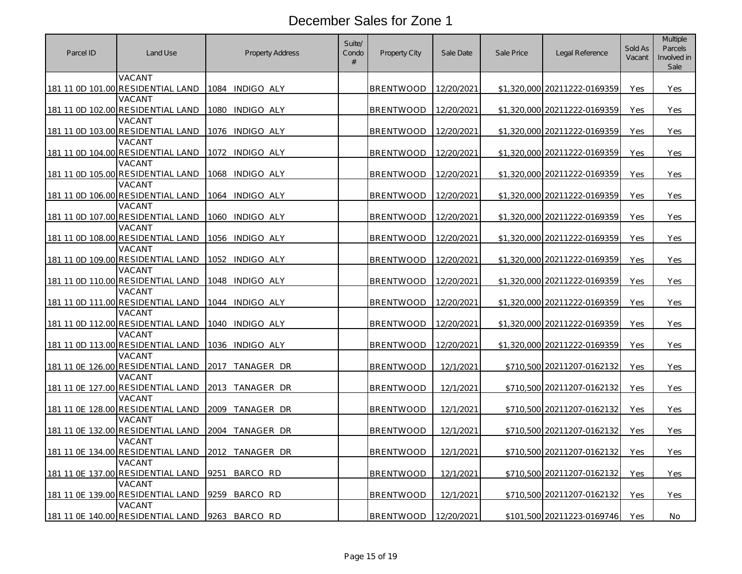| Parcel ID | Land Use                                           | <b>Property Address</b> | Suite/<br>Condo<br># | Property City    | Sale Date  | Sale Price  | Legal Reference              | Sold As<br>Vacant | <b>Multiple</b><br>Parcels<br>Involved in<br>Sale |
|-----------|----------------------------------------------------|-------------------------|----------------------|------------------|------------|-------------|------------------------------|-------------------|---------------------------------------------------|
|           | VACANT<br>181 11 0D 101.00 RESIDENTIAL LAND        | 1084 INDIGO ALY         |                      | <b>BRENTWOOD</b> | 12/20/2021 |             | \$1,320,000 20211222-0169359 | Yes               | Yes                                               |
|           | VACANT                                             |                         |                      |                  |            |             |                              |                   |                                                   |
|           | 181 11 0D 102.00 RESIDENTIAL LAND                  | 1080 INDIGO ALY         |                      | <b>BRENTWOOD</b> | 12/20/2021 |             | \$1,320,000 20211222-0169359 | Yes               | Yes                                               |
|           | VACANT                                             |                         |                      |                  |            |             |                              |                   |                                                   |
|           | 181 11 0D 103.00 RESIDENTIAL LAND                  | 1076 INDIGO ALY         |                      | <b>BRENTWOOD</b> | 12/20/2021 |             | \$1,320,000 20211222-0169359 | Yes               | Yes                                               |
|           | VACANT                                             |                         |                      |                  |            |             |                              |                   |                                                   |
|           | 181 11 0D 104.00 RESIDENTIAL LAND                  | INDIGO ALY<br>1072      |                      | <b>BRENTWOOD</b> | 12/20/2021 |             | \$1,320,000 20211222-0169359 | Yes               | Yes                                               |
|           | VACANT<br>181 11 0D 105.00 RESIDENTIAL LAND        | 1068 INDIGO ALY         |                      | <b>BRENTWOOD</b> | 12/20/2021 |             | \$1,320,000 20211222-0169359 | Yes               | Yes                                               |
|           | VACANT                                             |                         |                      |                  |            |             |                              |                   |                                                   |
|           | 181 11 0D 106.00 RESIDENTIAL LAND                  | 1064 INDIGO ALY         |                      | <b>BRENTWOOD</b> | 12/20/2021 | \$1,320,000 | 20211222-0169359             | Yes               | Yes                                               |
|           | VACANT                                             |                         |                      |                  |            |             |                              |                   |                                                   |
|           | 181 11 0D 107.00 RESIDENTIAL LAND                  | INDIGO ALY<br>1060      |                      | <b>BRENTWOOD</b> | 12/20/2021 |             | \$1,320,000 20211222-0169359 | Yes               | Yes                                               |
|           | VACANT<br>181 11 0D 108.00 RESIDENTIAL LAND        | 1056 INDIGO ALY         |                      |                  |            |             |                              |                   | Yes                                               |
|           | VACANT                                             |                         |                      | <b>BRENTWOOD</b> | 12/20/2021 |             | \$1,320,000 20211222-0169359 | Yes               |                                                   |
|           | 181 11 0D 109.00 RESIDENTIAL LAND                  | 1052<br>INDIGO ALY      |                      | BRENTWOOD        | 12/20/2021 |             | \$1,320,000 20211222-0169359 | Yes               | Yes                                               |
|           | VACANT                                             |                         |                      |                  |            |             |                              |                   |                                                   |
|           | 181 11 0D 110.00 RESIDENTIAL LAND                  | 1048 INDIGO ALY         |                      | <b>BRENTWOOD</b> | 12/20/2021 |             | \$1,320,000 20211222-0169359 | Yes               | Yes                                               |
|           | VACANT                                             |                         |                      |                  |            |             |                              |                   |                                                   |
|           | 181 11 0D 111.00 RESIDENTIAL LAND                  | 1044 INDIGO ALY         |                      | BRENTWOOD        | 12/20/2021 |             | \$1,320,000 20211222-0169359 | Yes               | Yes                                               |
|           | VACANT<br>181 11 0D 112.00 RESIDENTIAL LAND        |                         |                      |                  |            |             |                              |                   |                                                   |
|           | VACANT                                             | 1040 INDIGO ALY         |                      | <b>BRENTWOOD</b> | 12/20/2021 |             | \$1,320,000 20211222-0169359 | Yes               | Yes                                               |
|           | 181 11 0D 113.00 RESIDENTIAL LAND                  | 1036 INDIGO ALY         |                      | <b>BRENTWOOD</b> | 12/20/2021 |             | \$1,320,000 20211222-0169359 | Yes               | Yes                                               |
|           | VACANT                                             |                         |                      |                  |            |             |                              |                   |                                                   |
|           | 181 11 0E 126.00 RESIDENTIAL LAND                  | TANAGER DR<br>2017      |                      | <b>BRENTWOOD</b> | 12/1/2021  |             | \$710,500 20211207-0162132   | Yes               | Yes                                               |
|           | VACANT                                             |                         |                      |                  |            |             |                              |                   |                                                   |
|           | 181 11 0E 127.00 RESIDENTIAL LAND                  | 2013<br>TANAGER DR      |                      | <b>BRENTWOOD</b> | 12/1/2021  | \$710,500   | 20211207-0162132             | Yes               | Yes                                               |
|           | <b>VACANT</b><br>181 11 0E 128.00 RESIDENTIAL LAND | 2009 TANAGER DR         |                      | BRENTWOOD        | 12/1/2021  |             | \$710,500 20211207-0162132   |                   | Yes                                               |
|           | VACANT                                             |                         |                      |                  |            |             |                              | Yes               |                                                   |
|           | 181 11 0E 132.00 RESIDENTIAL LAND                  | 2004 TANAGER DR         |                      | <b>BRENTWOOD</b> | 12/1/2021  |             | \$710,500 20211207-0162132   | Yes               | Yes                                               |
|           | VACANT                                             |                         |                      |                  |            |             |                              |                   |                                                   |
|           | 181 11 OE 134.00 RESIDENTIAL LAND                  | TANAGER DR<br>2012      |                      | <b>BRENTWOOD</b> | 12/1/2021  |             | \$710,500 20211207-0162132   | Yes               | Yes                                               |
|           | VACANT                                             |                         |                      |                  |            |             |                              |                   |                                                   |
|           | 181 11 0E 137.00 RESIDENTIAL LAND                  | 9251<br>BARCO RD        |                      | <b>BRENTWOOD</b> | 12/1/2021  |             | \$710,500 20211207-0162132   | Yes               | Yes                                               |
|           | VACANT<br>181 11 OE 139.00 RESIDENTIAL LAND        | 9259<br>BARCO RD        |                      | <b>BRENTWOOD</b> | 12/1/2021  |             | \$710,500 20211207-0162132   | Yes               | Yes                                               |
|           | VACANT                                             |                         |                      |                  |            |             |                              |                   |                                                   |
|           | 181 11 OE 140.00 RESIDENTIAL LAND                  | 9263<br>BARCO RD        |                      | <b>BRENTWOOD</b> | 12/20/2021 |             | \$101,500 20211223-0169746   | Yes               | No                                                |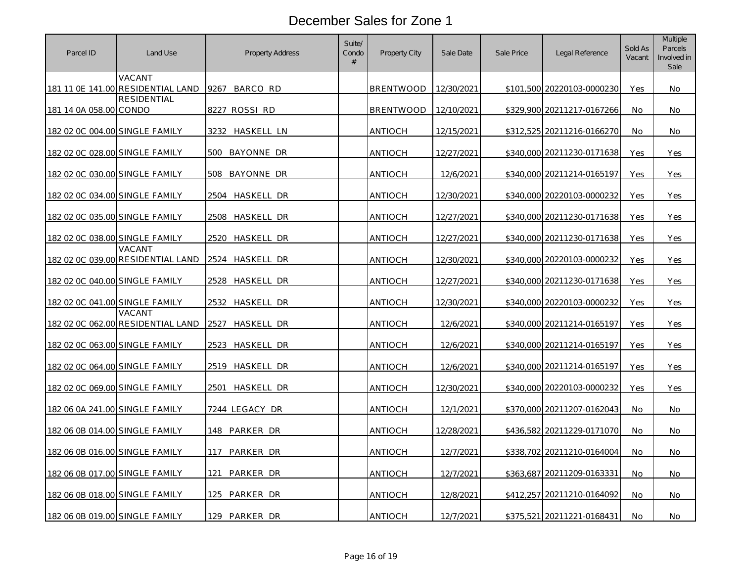| Parcel ID                      | Land Use                                    | Property Address             | Suite/<br>Condo<br># | <b>Property City</b> | Sale Date  | Sale Price | Legal Reference            | Sold As<br>Vacant | <b>Multiple</b><br>Parcels<br>Involved in<br>Sale |
|--------------------------------|---------------------------------------------|------------------------------|----------------------|----------------------|------------|------------|----------------------------|-------------------|---------------------------------------------------|
|                                | VACANT<br>181 11 OE 141.00 RESIDENTIAL LAND | BARCO RD<br>9267             |                      | <b>BRENTWOOD</b>     | 12/30/2021 |            | \$101,500 20220103-0000230 | Yes               | No                                                |
| 181 14 0A 058.00 CONDO         | <b>RESIDENTIAL</b>                          | 8227 ROSSI RD                |                      | <b>BRENTWOOD</b>     | 12/10/2021 |            | \$329,900 20211217-0167266 | No                | No                                                |
| 182 02 0C 004.00 SINGLE FAMILY |                                             | haskell ln<br>3232           |                      | <b>ANTIOCH</b>       | 12/15/2021 |            | \$312,525 20211216-0166270 | <b>No</b>         | No                                                |
| 182 02 0C 028.00 SINGLE FAMILY |                                             | 500<br>BAYONNE DR            |                      | ANTIOCH              | 12/27/2021 |            | \$340,000 20211230-0171638 | Yes               | Yes                                               |
| 182 02 0C 030.00 SINGLE FAMILY |                                             | BAYONNE DR<br>508            |                      | ANTIOCH              | 12/6/2021  |            | \$340,000 20211214-0165197 | Yes               | Yes                                               |
| 182 02 0C 034.00 SINGLE FAMILY |                                             | <b>DR</b><br>2504<br>haskell |                      | ANTIOCH              | 12/30/2021 | \$340,000  | 20220103-0000232           | Yes               | Yes                                               |
| 182 02 0C 035.00 SINGLE FAMILY |                                             | 2508<br>HASKELL<br>DR        |                      | ANTIOCH              | 12/27/2021 |            | \$340,000 20211230-0171638 | Yes               | Yes                                               |
| 182 02 0C 038.00 SINGLE FAMILY |                                             | 2520 HASKELL DR              |                      | ANTIOCH              | 12/27/2021 | \$340,000  | 20211230-0171638           | Yes               | Yes                                               |
|                                | VACANT<br>182 02 0C 039.00 RESIDENTIAL LAND | 2524 HASKELL DR              |                      | <b>ANTIOCH</b>       | 12/30/2021 | \$340,000  | 20220103-0000232           | Yes               | Yes                                               |
| 182 02 0C 040.00 SINGLE FAMILY |                                             | 2528 HASKELL DR              |                      | ANTIOCH              | 12/27/2021 |            | \$340,000 20211230-0171638 | Yes               | Yes                                               |
| 182 02 0C 041.00 SINGLE FAMILY |                                             | HASKELL DR<br>2532           |                      | ANTIOCH              | 12/30/2021 |            | \$340,000 20220103-0000232 | Yes               | Yes                                               |
|                                | VACANT<br>182 02 0C 062.00 RESIDENTIAL LAND | 2527<br>HASKELL<br>DR        |                      | <b>ANTIOCH</b>       | 12/6/2021  |            | \$340,000 20211214-0165197 | Yes               | Yes                                               |
| 182 02 0C 063.00 SINGLE FAMILY |                                             | 2523 HASKELL DR              |                      | <b>ANTIOCH</b>       | 12/6/2021  |            | \$340,000 20211214-0165197 | Yes               | Yes                                               |
| 182 02 0C 064.00 SINGLE FAMILY |                                             | 2519 HASKELL DR              |                      | ANTIOCH              | 12/6/2021  |            | \$340,000 20211214-0165197 | Yes               | Yes                                               |
| 182 02 0C 069.00 SINGLE FAMILY |                                             | HASKELL DR<br>2501           |                      | ANTIOCH              | 12/30/2021 |            | \$340,000 20220103-0000232 | Yes               | Yes                                               |
| 182 06 0A 241.00 SINGLE FAMILY |                                             | 7244 LEGACY DR               |                      | ANTIOCH              | 12/1/2021  |            | \$370,000 20211207-0162043 | No                | No                                                |
| 182 06 0B 014.00 SINGLE FAMILY |                                             | 148 PARKER DR                |                      | ANTIOCH              | 12/28/2021 |            | \$436,582 20211229-0171070 | No                | No                                                |
| 182 06 0B 016.00 SINGLE FAMILY |                                             | 117<br>PARKER DR             |                      | <b>ANTIOCH</b>       | 12/7/2021  |            | \$338,702 20211210-0164004 | No                | No                                                |
| 182 06 0B 017.00 SINGLE FAMILY |                                             | PARKER DR<br>121             |                      | <b>ANTIOCH</b>       | 12/7/2021  |            | \$363,687 20211209-0163331 | <b>No</b>         | No.                                               |
| 182 06 0B 018.00 SINGLE FAMILY |                                             | PARKER DR<br>125             |                      | <b>ANTIOCH</b>       | 12/8/2021  |            | \$412,257 20211210-0164092 | No                | No                                                |
| 182 06 0B 019.00 SINGLE FAMILY |                                             | PARKER DR<br>129             |                      | ANTIOCH              | 12/7/2021  |            | \$375,521 20211221-0168431 | No                | No                                                |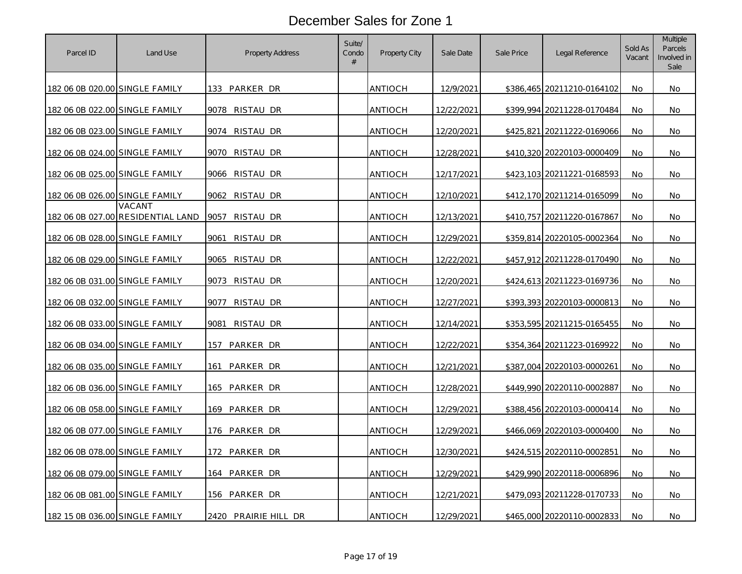| Parcel ID                      | Land Use                                    | Property Address     | Suite/<br>Condo<br># | Property City  | Sale Date         | Sale Price | Legal Reference            | Sold As<br>Vacant | <b>Multiple</b><br>Parcels<br>Involved in<br>Sale |
|--------------------------------|---------------------------------------------|----------------------|----------------------|----------------|-------------------|------------|----------------------------|-------------------|---------------------------------------------------|
| 182 06 0B 020.00 SINGLE FAMILY |                                             | 133 PARKER DR        |                      | <b>ANTIOCH</b> | 12/9/2021         |            | \$386,465 20211210-0164102 | No                | No                                                |
| 182 06 0B 022.00 SINGLE FAMILY |                                             | 9078 RISTAU DR       |                      | ANTIOCH        | 12/22/2021        |            | \$399,994 20211228-0170484 | No                | No                                                |
| 182 06 0B 023.00 SINGLE FAMILY |                                             | RISTAU DR<br>9074    |                      | <b>ANTIOCH</b> | 12/20/2021        |            | \$425,821 20211222-0169066 | No                | No                                                |
| 182 06 0B 024.00 SINGLE FAMILY |                                             | 9070<br>RISTAU DR    |                      | ANTIOCH        | 12/28/2021        |            | \$410,320 20220103-0000409 | <b>No</b>         | No                                                |
| 182 06 0B 025.00 SINGLE FAMILY |                                             | 9066 RISTAU DR       |                      | ANTIOCH        | 12/17/2021        |            | \$423,103 20211221-0168593 | <b>No</b>         | No.                                               |
| 182 06 0B 026.00 SINGLE FAMILY |                                             | 9062<br>RISTAU DR    |                      | ANTIOCH        | 12/10/2021        |            | \$412,170 20211214-0165099 | No                | No                                                |
|                                | VACANT<br>182 06 0B 027.00 RESIDENTIAL LAND | 9057<br>RISTAU DR    |                      | ANTIOCH        | 12/13/2021        |            | \$410,757 20211220-0167867 | No                | No                                                |
| 182 06 0B 028.00 SINGLE FAMILY |                                             | 9061<br>RISTAU DR    |                      | ANTIOCH        | 12/29/2021        |            | \$359,814 20220105-0002364 | No                | No                                                |
| 182 06 0B 029.00 SINGLE FAMILY |                                             | 9065<br>RISTAU DR    |                      | ANTIOCH        | 12/22/2021        |            | \$457,912 20211228-0170490 | No                | No                                                |
| 182 06 0B 031.00 SINGLE FAMILY |                                             | RISTAU DR<br>9073    |                      | ANTIOCH        | 12/20/2021        |            | \$424,613 20211223-0169736 | No                | No                                                |
| 182 06 0B 032.00 SINGLE FAMILY |                                             | 9077<br>RISTAU DR    |                      | ANTIOCH        | 12/27/2021        |            | \$393,393 20220103-0000813 | No                | No                                                |
| 182 06 0B 033.00 SINGLE FAMILY |                                             | 9081<br>RISTAU DR    |                      | ANTIOCH        | <u>12/14/2021</u> |            | \$353,595 20211215-0165455 | No                | No                                                |
| 182 06 0B 034.00 SINGLE FAMILY |                                             | 157<br>PARKER DR     |                      | <b>ANTIOCH</b> | 12/22/2021        |            | \$354,364 20211223-0169922 | <b>No</b>         | No                                                |
| 182 06 0B 035.00 SINGLE FAMILY |                                             | PARKER DR<br>161     |                      | ANTIOCH        | 12/21/2021        |            | \$387,004 20220103-0000261 | No                | No                                                |
| 182 06 0B 036.00 SINGLE FAMILY |                                             | PARKER DR<br>165     |                      | ANTIOCH        | 12/28/2021        |            | \$449,990 20220110-0002887 | No                | No                                                |
| 182 06 0B 058.00 SINGLE FAMILY |                                             | PARKER DR<br>169     |                      | ANTIOCH        | 12/29/2021        |            | \$388,456 20220103-0000414 | No                | No                                                |
| 182 06 0B 077.00 SINGLE FAMILY |                                             | PARKER DR<br>176     |                      | ANTIOCH        | 12/29/2021        |            | \$466,069 20220103-0000400 | No                | No                                                |
| 182 06 0B 078.00 SINGLE FAMILY |                                             | PARKER DR<br>172     |                      | ANTIOCH        | 12/30/2021        |            | \$424,515 20220110-0002851 | No                | No                                                |
| 182 06 0B 079.00 SINGLE FAMILY |                                             | 164 PARKER DR        |                      | ANTIOCH        | 12/29/2021        |            | \$429,990 20220118-0006896 | No                | No.                                               |
| 182 06 0B 081.00 SINGLE FAMILY |                                             | 156 PARKER DR        |                      | ANTIOCH        | 12/21/2021        |            | \$479,093 20211228-0170733 | No                | No                                                |
| 182 15 0B 036.00 SINGLE FAMILY |                                             | 2420 PRAIRIE HILL DR |                      | ANTIOCH        | 12/29/2021        |            | \$465,000 20220110-0002833 | No                | No                                                |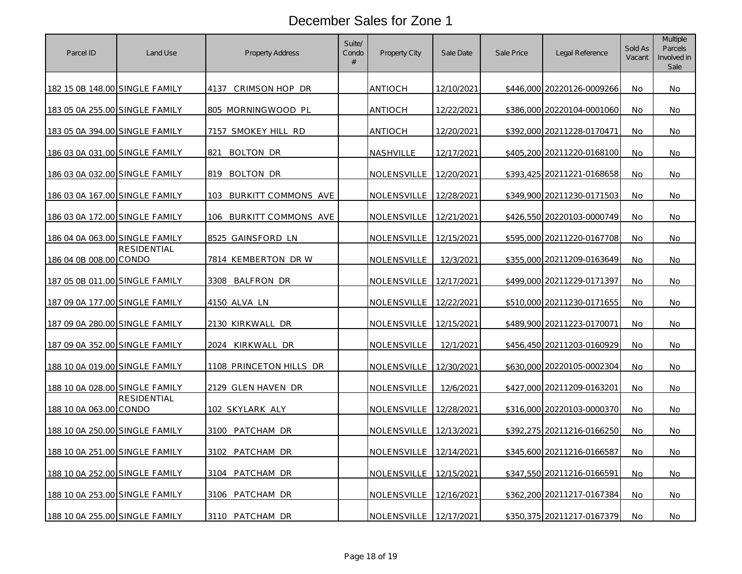| Parcel ID                      | Land Use           | <b>Property Address</b>           | Suite/<br>Condo<br># | Property City      | Sale Date  | Sale Price | Legal Reference            | Sold As<br>Vacant | <b>Multiple</b><br>Parcels<br>Involved in<br>Sale |
|--------------------------------|--------------------|-----------------------------------|----------------------|--------------------|------------|------------|----------------------------|-------------------|---------------------------------------------------|
| 182 15 0B 148.00 SINGLE FAMILY |                    | 4137<br>CRIMSON HOP DR            |                      | <b>ANTIOCH</b>     | 12/10/2021 |            | \$446,000 20220126-0009266 | No                | No                                                |
| 183 05 0A 255.00 SINGLE FAMILY |                    | 805 MORNINGWOOD PL                |                      | <b>ANTIOCH</b>     | 12/22/2021 |            | \$386,000 20220104-0001060 | No                | No                                                |
| 183 05 0A 394.00 SINGLE FAMILY |                    | 7157 SMOKEY HILL RD               |                      | ANTIOCH            | 12/20/2021 |            | \$392,000 20211228-0170471 | <b>No</b>         | No.                                               |
| 186 03 0A 031.00 SINGLE FAMILY |                    | 821<br>BOLTON DR                  |                      | NASHVILLE          | 12/17/2021 |            | \$405,200 20211220-0168100 | No                | No                                                |
| 186 03 0A 032.00 SINGLE FAMILY |                    | 819 BOLTON DR                     |                      | NOLENSVILLE        | 12/20/2021 |            | \$393,425 20211221-0168658 | No                | No                                                |
| 186 03 0A 167.00 SINGLE FAMILY |                    | <b>BURKITT COMMONS AVE</b><br>103 |                      | <b>NOLENSVILLE</b> | 12/28/2021 | \$349,900  | 20211230-0171503           | No                | No                                                |
| 186 03 0A 172.00 SINGLE FAMILY |                    | BURKITT COMMONS AVE<br>106        |                      | NOLENSVILLE        | 12/21/2021 |            | \$426,550 20220103-0000749 | No                | No                                                |
| 186 04 0A 063.00 SINGLE FAMILY |                    | 8525 GAINSFORD LN                 |                      | NOLENSVILLE        | 12/15/2021 |            | \$595,000 20211220-0167708 | <b>No</b>         | No.                                               |
| 186 04 0B 008.00 CONDO         | RESIDENTIAL        | 7814 KEMBERTON DRW                |                      | NOLENSVILLE        | 12/3/2021  | \$355,000  | 20211209-0163649           | <b>No</b>         | No                                                |
| 187 05 0B 011.00 SINGLE FAMILY |                    | BALFRON DR<br>3308                |                      | NOLENSVILLE        | 12/17/2021 | \$499,000  | 20211229-0171397           | No                | No                                                |
| 187 09 0A 177.00 SINGLE FAMILY |                    | 4150 ALVA LN                      |                      | NOLENSVILLE        | 12/22/2021 |            | \$510,000 20211230-0171655 | <b>No</b>         | No.                                               |
| 187 09 0A 280.00 SINGLE FAMILY |                    | 2130 KIRKWALL<br>DR               |                      | NOLENSVILLE        | 12/15/2021 |            | \$489,900 20211223-0170071 | <b>No</b>         | No                                                |
| 187 09 0A 352.00 SINGLE FAMILY |                    | 2024 KIRKWALL DR                  |                      | NOLENSVILLE        | 12/1/2021  |            | \$456,450 20211203-0160929 | No                | No                                                |
| 188 10 0A 019.00 SINGLE FAMILY |                    | 1108 PRINCETON HILLS DR           |                      | NOLENSVILLE        | 12/30/2021 |            | \$630,000 20220105-0002304 | No                | No                                                |
| 188 10 0A 028.00 SINGLE FAMILY |                    | 2129 GLEN HAVEN DR                |                      | NOLENSVILLE        | 12/6/2021  |            | \$427,000 20211209-0163201 | <b>No</b>         | No                                                |
| 188 10 0A 063.00 CONDO         | <b>RESIDENTIAL</b> | 102 SKYLARK ALY                   |                      | NOLENSVILLE        | 12/28/2021 |            | \$316,000 20220103-0000370 | No                | No                                                |
| 188 10 0A 250.00 SINGLE FAMILY |                    | 3100 PATCHAM DR                   |                      | NOLENSVILLE        | 12/13/2021 |            | \$392,275 20211216-0166250 | No                | No                                                |
| 188 10 0A 251.00 SINGLE FAMILY |                    | 3102<br>PATCHAM DR                |                      | NOLENSVILLE        | 12/14/2021 |            | \$345,600 20211216-0166587 | No                | No                                                |
| 188 10 0A 252.00 SINGLE FAMILY |                    | PATCHAM DR<br>3104                |                      | NOLENSVILLE        | 12/15/2021 |            | \$347,550 20211216-0166591 | No                | No                                                |
| 188 10 0A 253.00 SINGLE FAMILY |                    | 3106 PATCHAM DR                   |                      | NOLENSVILLE        | 12/16/2021 |            | \$362,200 20211217-0167384 | No                | No                                                |
| 188 10 0A 255.00 SINGLE FAMILY |                    | 3110 PATCHAM DR                   |                      | <b>NOLENSVILLE</b> | 12/17/2021 |            | \$350,375 20211217-0167379 | No                | Νo                                                |